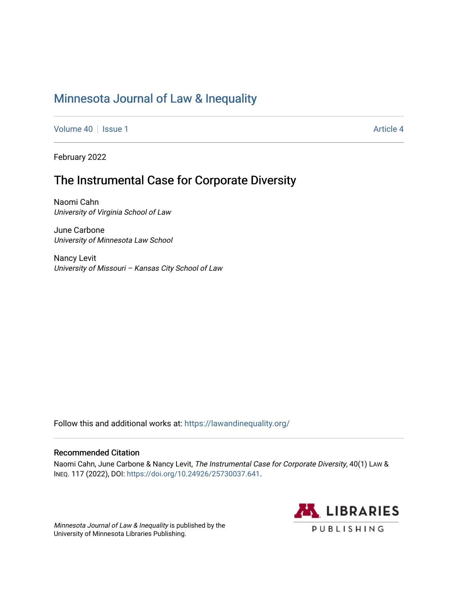# [Minnesota Journal of Law & Inequality](https://scholarship.law.umn.edu/lawineq)

[Volume 40](https://scholarship.law.umn.edu/lawineq/vol40) | [Issue 1](https://scholarship.law.umn.edu/lawineq/vol40/iss1) Article 4

February 2022

# The Instrumental Case for Corporate Diversity

Naomi Cahn University of Virginia School of Law

June Carbone University of Minnesota Law School

Nancy Levit University of Missouri – Kansas City School of Law

Follow this and additional works at: <https://lawandinequality.org/>

# Recommended Citation

Naomi Cahn, June Carbone & Nancy Levit, The Instrumental Case for Corporate Diversity, 40(1) LAW & INEQ. 117 (2022), DOI: [https://doi.org/10.24926/25730037.641.](https://doi.org/10.24926/25730037.641)

Minnesota Journal of Law & Inequality is published by the University of Minnesota Libraries Publishing.

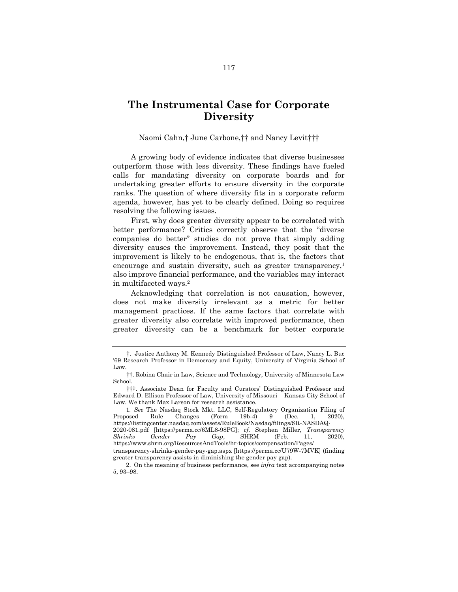# **The Instrumental Case for Corporate Diversity**

Naomi Cahn,† June Carbone,†† and Nancy Levit†††

A growing body of evidence indicates that diverse businesses outperform those with less diversity. These findings have fueled calls for mandating diversity on corporate boards and for undertaking greater efforts to ensure diversity in the corporate ranks. The question of where diversity fits in a corporate reform agenda, however, has yet to be clearly defined. Doing so requires resolving the following issues.

First, why does greater diversity appear to be correlated with better performance? Critics correctly observe that the "diverse companies do better" studies do not prove that simply adding diversity causes the improvement. Instead, they posit that the improvement is likely to be endogenous, that is, the factors that encourage and sustain diversity, such as greater transparency,<sup>1</sup> also improve financial performance, and the variables may interact in multifaceted ways.<sup>2</sup>

<span id="page-1-0"></span>Acknowledging that correlation is not causation, however, does not make diversity irrelevant as a metric for better management practices. If the same factors that correlate with greater diversity also correlate with improved performance, then greater diversity can be a benchmark for better corporate

<sup>†</sup>. Justice Anthony M. Kennedy Distinguished Professor of Law, Nancy L. Buc '69 Research Professor in Democracy and Equity, University of Virginia School of Law.

<sup>††</sup>. Robina Chair in Law, Science and Technology, University of Minnesota Law School.

<sup>†††</sup>. Associate Dean for Faculty and Curators' Distinguished Professor and Edward D. Ellison Professor of Law, University of Missouri – Kansas City School of Law. We thank Max Larson for research assistance.

<sup>1</sup>*. See* The Nasdaq Stock Mkt. LLC, Self-Regulatory Organization Filing of Proposed Rule Changes (Form 19b-4) 9 (Dec. 1, 2020), https://listingcenter.nasdaq.com/assets/RuleBook/Nasdaq/filings/SR-NASDAQ-

<sup>2020-081.</sup>pdf [https://perma.cc/6ML8-98PG]; *cf.* Stephen Miller, *Transparency Shrinks Gender Pay Gap*, SHRM (Feb. 11, 2020), Shrinks Gender Pay Gap, SHRM (Feb. 11, https://www.shrm.org/ResourcesAndTools/hr-topics/compensation/Pages/

transparency-shrinks-gender-pay-gap.aspx [https://perma.cc/U79W-7MVK] (finding greater transparency assists in diminishing the gender pay gap).

<sup>2.</sup> On the meaning of business performance, see *infra* text accompanying notes 5, 93–98.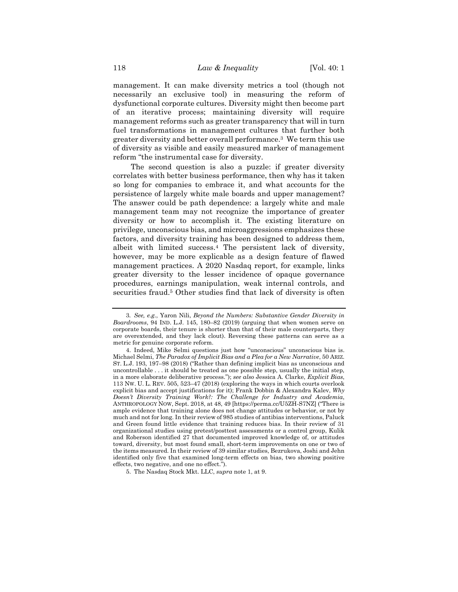management. It can make diversity metrics a tool (though not necessarily an exclusive tool) in measuring the reform of dysfunctional corporate cultures. Diversity might then become part of an iterative process; maintaining diversity will require management reforms such as greater transparency that will in turn fuel transformations in management cultures that further both greater diversity and better overall performance.<sup>3</sup> We term this use of diversity as visible and easily measured marker of management reform "the instrumental case for diversity.

The second question is also a puzzle: if greater diversity correlates with better business performance, then why has it taken so long for companies to embrace it, and what accounts for the persistence of largely white male boards and upper management? The answer could be path dependence: a largely white and male management team may not recognize the importance of greater diversity or how to accomplish it. The existing literature on privilege, unconscious bias, and microaggressions emphasizes these factors, and diversity training has been designed to address them, albeit with limited success.<sup>4</sup> The persistent lack of diversity, however, may be more explicable as a design feature of flawed management practices. A 2020 Nasdaq report, for example, links greater diversity to the lesser incidence of opaque governance procedures, earnings manipulation, weak internal controls, and securities fraud.<sup>5</sup> Other studies find that lack of diversity is often

<span id="page-2-0"></span><sup>3</sup>*. See, e.g.*, Yaron Nili, *Beyond the Numbers: Substantive Gender Diversity in Boardrooms*, 94 IND. L.J. 145, 180–82 (2019) (arguing that when women serve on corporate boards, their tenure is shorter than that of their male counterparts, they are overextended, and they lack clout). Reversing these patterns can serve as a metric for genuine corporate reform.

<sup>4.</sup> Indeed, Mike Selmi questions just how "unconscious" unconscious bias is. Michael Selmi, *The Paradox of Implicit Bias and a Plea for a New Narrative*, 50 ARIZ. ST. L.J. 193, 197–98 (2018) ("Rather than defining implicit bias as unconscious and uncontrollable . . . it should be treated as one possible step, usually the initial step, in a more elaborate deliberative process."); *see also* Jessica A. Clarke, *Explicit Bias*, 113 NW. U. L. REV. 505, 523–47 (2018) (exploring the ways in which courts overlook explicit bias and accept justifications for it); Frank Dobbin & Alexandra Kalev, *Why Doesn't Diversity Training Work?: The Challenge for Industry and Academia*, ANTHROPOLOGY NOW, Sept. 2018, at 48, 49 [https://perma.cc/U5ZH-S7NZ] ("There is ample evidence that training alone does not change attitudes or behavior, or not by much and not for long. In their review of 985 studies of antibias interventions, Paluck and Green found little evidence that training reduces bias. In their review of 31 organizational studies using pretest/posttest assessments or a control group, Kulik and Roberson identified 27 that documented improved knowledge of, or attitudes toward, diversity, but most found small, short-term improvements on one or two of the items measured. In their review of 39 similar studies, Bezrukova, Joshi and Jehn identified only five that examined long-term effects on bias, two showing positive effects, two negative, and one no effect.").

<sup>5.</sup> The Nasdaq Stock Mkt. LLC, *supra* note [1,](#page-1-0) at 9.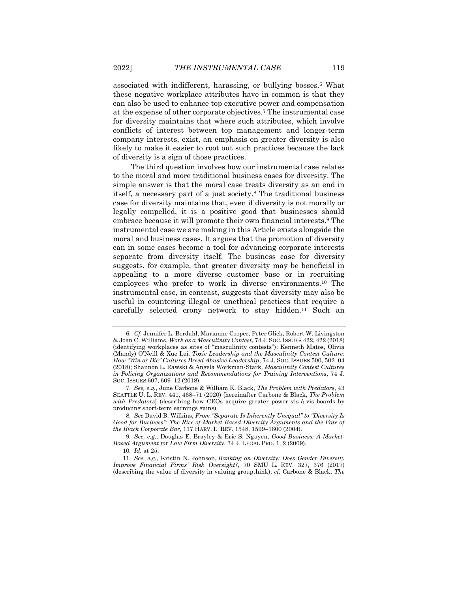<span id="page-3-2"></span><span id="page-3-0"></span>associated with indifferent, harassing, or bullying bosses.<sup>6</sup> What these negative workplace attributes have in common is that they can also be used to enhance top executive power and compensation at the expense of other corporate objectives.<sup>7</sup> The instrumental case for diversity maintains that where such attributes, which involve conflicts of interest between top management and longer-term company interests, exist, an emphasis on greater diversity is also likely to make it easier to root out such practices because the lack of diversity is a sign of those practices.

The third question involves how our instrumental case relates to the moral and more traditional business cases for diversity. The simple answer is that the moral case treats diversity as an end in itself, a necessary part of a just society.<sup>8</sup> The traditional business case for diversity maintains that, even if diversity is not morally or legally compelled, it is a positive good that businesses should embrace because it will promote their own financial interests.<sup>9</sup> The instrumental case we are making in this Article exists alongside the moral and business cases. It argues that the promotion of diversity can in some cases become a tool for advancing corporate interests separate from diversity itself. The business case for diversity suggests, for example, that greater diversity may be beneficial in appealing to a more diverse customer base or in recruiting employees who prefer to work in diverse environments.<sup>10</sup> The instrumental case, in contrast, suggests that diversity may also be useful in countering illegal or unethical practices that require a carefully selected crony network to stay hidden.<sup>11</sup> Such an

<span id="page-3-1"></span><sup>6</sup>*. Cf.* Jennifer L. Berdahl, Marianne Cooper, Peter Glick, Robert W. Livingston & Joan C. Williams, *Work as a Masculinity Contest*, 74 J. SOC. ISSUES 422, 422 (2018) (identifying workplaces as sites of "masculinity contests"); Kenneth Matos, Olivia (Mandy) O'Neill & Xue Lei, *Toxic Leadership and the Masculinity Contest Culture: How "Win or Die" Cultures Breed Abusive Leadership*, 74 J. SOC. ISSUES 500, 502–04 (2018); Shannon L. Rawski & Angela Workman-Stark, *Masculinity Contest Cultures in Policing Organizations and Recommendations for Training Interventions*, 74 J. SOC. ISSUES 607, 609–12 (2018).

<sup>7</sup>*. See, e.g.*, June Carbone & William K. Black, *The Problem with Predators*, 43 SEATTLE U. L. REV. 441, 468–71 (2020) [hereinafter Carbone & Black, *The Problem with Predators*] (describing how CEOs acquire greater power vis-à-vis boards by producing short-term earnings gains).

<sup>8</sup>*. See* David B. Wilkins, *From "Separate Is Inherently Unequal" to "Diversity Is Good for Business": The Rise of Market-Based Diversity Arguments and the Fate of the Black Corporate Bar*, 117 HARV. L. REV. 1548, 1599–1600 (2004).

<sup>9</sup>*. See, e.g.*, Douglas E. Brayley & Eric S. Nguyen, *Good Business: A Market-Based Argument for Law Firm Diversity*, 34 J. LEGAL PRO. 1, 2 (2009).

<sup>10</sup>*. Id.* at 25.

<sup>11</sup>*. See, e.g.*, Kristin N. Johnson, *Banking on Diversity: Does Gender Diversity Improve Financial Firms' Risk Oversight?*, 70 SMU L. REV. 327, 376 (2017) (describing the value of diversity in valuing groupthink); *cf.* Carbone & Black, *The*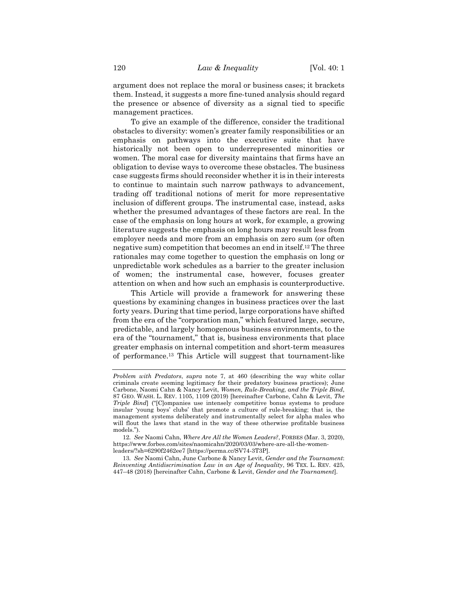argument does not replace the moral or business cases; it brackets them. Instead, it suggests a more fine-tuned analysis should regard the presence or absence of diversity as a signal tied to specific management practices.

To give an example of the difference, consider the traditional obstacles to diversity: women's greater family responsibilities or an emphasis on pathways into the executive suite that have historically not been open to underrepresented minorities or women. The moral case for diversity maintains that firms have an obligation to devise ways to overcome these obstacles. The business case suggests firms should reconsider whether it is in their interests to continue to maintain such narrow pathways to advancement, trading off traditional notions of merit for more representative inclusion of different groups. The instrumental case, instead, asks whether the presumed advantages of these factors are real. In the case of the emphasis on long hours at work, for example, a growing literature suggests the emphasis on long hours may result less from employer needs and more from an emphasis on zero sum (or often negative sum) competition that becomes an end in itself.<sup>12</sup> The three rationales may come together to question the emphasis on long or unpredictable work schedules as a barrier to the greater inclusion of women; the instrumental case, however, focuses greater attention on when and how such an emphasis is counterproductive.

This Article will provide a framework for answering these questions by examining changes in business practices over the last forty years. During that time period, large corporations have shifted from the era of the "corporation man," which featured large, secure, predictable, and largely homogenous business environments, to the era of the "tournament," that is, business environments that place greater emphasis on internal competition and short-term measures of performance.<sup>13</sup> This Article will suggest that tournament-like

<span id="page-4-0"></span>*Problem with Predators*, *supra* note [7,](#page-3-0) at 460 (describing the way white collar criminals create seeming legitimacy for their predatory business practices); June Carbone, Naomi Cahn & Nancy Levit, *Women, Rule-Breaking, and the Triple Bind*, 87 GEO. WASH. L. REV. 1105, 1109 (2019) [hereinafter Carbone, Cahn & Levit, *The Triple Bind*] ("[C]ompanies use intensely competitive bonus systems to produce insular 'young boys' clubs' that promote a culture of rule-breaking; that is, the management systems deliberately and instrumentally select for alpha males who will flout the laws that stand in the way of these otherwise profitable business models.").

<sup>12</sup>*. See* Naomi Cahn, *Where Are All the Women Leaders?*, FORBES (Mar. 3, 2020), https://www.forbes.com/sites/naomicahn/2020/03/03/where-are-all-the-womenleaders/?sh=6290f2462ee7 [https://perma.cc/SV74-3T3P].

<sup>13</sup>*. See* Naomi Cahn, June Carbone & Nancy Levit, *Gender and the Tournament*: *Reinventing Antidiscrimination Law in an Age of Inequality*, 96 TEX. L. REV. 425, 447–48 (2018) [hereinafter Cahn, Carbone & Levit, *Gender and the Tournament*].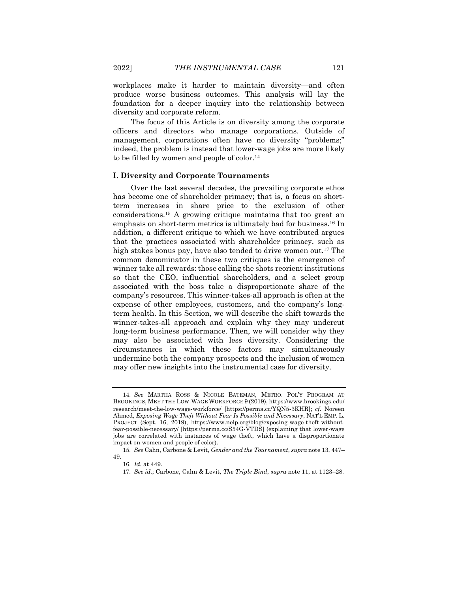workplaces make it harder to maintain diversity—and often produce worse business outcomes. This analysis will lay the foundation for a deeper inquiry into the relationship between diversity and corporate reform.

The focus of this Article is on diversity among the corporate officers and directors who manage corporations. Outside of management, corporations often have no diversity "problems;" indeed, the problem is instead that lower-wage jobs are more likely to be filled by women and people of color.<sup>14</sup>

### **I. Diversity and Corporate Tournaments**

Over the last several decades, the prevailing corporate ethos has become one of shareholder primacy; that is, a focus on shortterm increases in share price to the exclusion of other considerations.<sup>15</sup> A growing critique maintains that too great an emphasis on short-term metrics is ultimately bad for business.<sup>16</sup> In addition, a different critique to which we have contributed argues that the practices associated with shareholder primacy, such as high stakes bonus pay, have also tended to drive women out.<sup>17</sup> The common denominator in these two critiques is the emergence of winner take all rewards: those calling the shots reorient institutions so that the CEO, influential shareholders, and a select group associated with the boss take a disproportionate share of the company's resources. This winner-takes-all approach is often at the expense of other employees, customers, and the company's longterm health. In this Section, we will describe the shift towards the winner-takes-all approach and explain why they may undercut long-term business performance. Then, we will consider why they may also be associated with less diversity. Considering the circumstances in which these factors may simultaneously undermine both the company prospects and the inclusion of women may offer new insights into the instrumental case for diversity.

<sup>14</sup>*. See* MARTHA ROSS & NICOLE BATEMAN, METRO. POL'Y PROGRAM AT BROOKINGS, MEET THE LOW-WAGE WORKFORCE 9 (2019), https://www.brookings.edu/ research/meet-the-low-wage-workforce/ [https://perma.cc/YQN5-3KHR]; *cf.* Noreen Ahmed, *Exposing Wage Theft Without Fear Is Possible and Necessary*, NAT'L EMP. L. PROJECT (Sept. 16, 2019), https://www.nelp.org/blog/exposing-wage-theft-withoutfear-possible-necessary/ [https://perma.cc/S54G-VTDS] (explaining that lower-wage jobs are correlated with instances of wage theft, which have a disproportionate impact on women and people of color).

<sup>15</sup>*. See* Cahn, Carbone & Levit, *Gender and the Tournament*, *supra* not[e 13,](#page-4-0) 447– 49.

<sup>16</sup>*. Id.* at 449.

<sup>17</sup>*. See id.*; Carbone, Cahn & Levit, *The Triple Bind*, *supra* not[e 11,](#page-3-1) at 1123–28.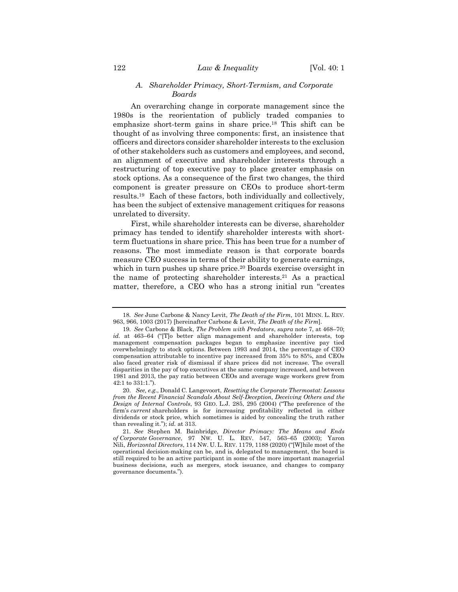# <span id="page-6-1"></span>*A. Shareholder Primacy, Short-Termism, and Corporate Boards*

An overarching change in corporate management since the 1980s is the reorientation of publicly traded companies to emphasize short-term gains in share price.<sup>18</sup> This shift can be thought of as involving three components: first, an insistence that officers and directors consider shareholder interests to the exclusion of other stakeholders such as customers and employees, and second, an alignment of executive and shareholder interests through a restructuring of top executive pay to place greater emphasis on stock options. As a consequence of the first two changes, the third component is greater pressure on CEOs to produce short-term results.19 Each of these factors, both individually and collectively, has been the subject of extensive management critiques for reasons unrelated to diversity.

<span id="page-6-0"></span>First, while shareholder interests can be diverse, shareholder primacy has tended to identify shareholder interests with shortterm fluctuations in share price. This has been true for a number of reasons. The most immediate reason is that corporate boards measure CEO success in terms of their ability to generate earnings, which in turn pushes up share price.<sup>20</sup> Boards exercise oversight in the name of protecting shareholder interests.<sup>21</sup> As a practical matter, therefore, a CEO who has a strong initial run "creates

<sup>18</sup>*. See* June Carbone & Nancy Levit, *The Death of the Firm*, 101 MINN. L. REV. 963, 966, 1003 (2017) [hereinafter Carbone & Levit, *The Death of the Firm*].

<sup>19</sup>*. See* Carbone & Black, *The Problem with Predators*, *supra* note [7,](#page-3-0) at 468–70; *id.* at 463–64 ("[T]o better align management and shareholder interests, top management compensation packages began to emphasize incentive pay tied overwhelmingly to stock options. Between 1993 and 2014, the percentage of CEO compensation attributable to incentive pay increased from 35% to 85%, and CEOs also faced greater risk of dismissal if share prices did not increase. The overall disparities in the pay of top executives at the same company increased, and between 1981 and 2013, the pay ratio between CEOs and average wage workers grew from 42:1 to 331:1.").

<sup>20.</sup> *See, e.g.*, Donald C. Langevoort, *Resetting the Corporate Thermostat: Lessons from the Recent Financial Scandals About Self-Deception, Deceiving Others and the Design of Internal Controls*, 93 GEO. L.J. 285, 295 (2004) ("The preference of the firm's *current* shareholders is for increasing profitability reflected in either dividends or stock price, which sometimes is aided by concealing the truth rather than revealing it."); *id.* at 313.

<sup>21</sup>*. See* Stephen M. Bainbridge, *Director Primacy: The Means and Ends of Corporate Governance*, 97 NW. U. L. REV. 547, 563–65 (2003); Yaron Nili, *Horizontal Directors*, 114 NW. U. L. REV. 1179, 1188 (2020) ("[W]hile most of the operational decision-making can be, and is, delegated to management, the board is still required to be an active participant in some of the more important managerial business decisions, such as mergers, stock issuance, and changes to company governance documents.").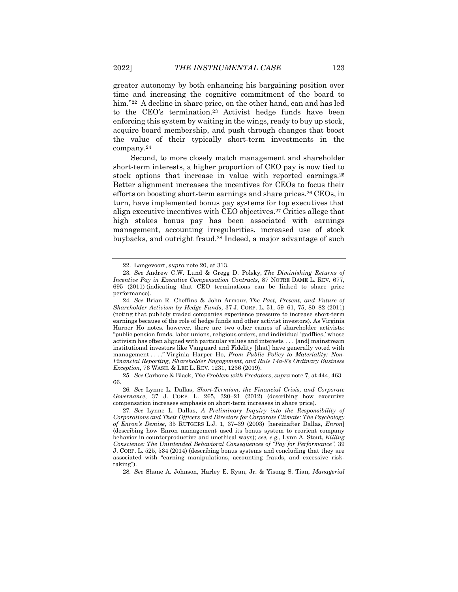greater autonomy by both enhancing his bargaining position over time and increasing the cognitive commitment of the board to him."<sup>22</sup> A decline in share price, on the other hand, can and has led to the CEO's termination.<sup>23</sup> Activist hedge funds have been enforcing this system by waiting in the wings, ready to buy up stock, acquire board membership, and push through changes that boost the value of their typically short-term investments in the company.<sup>24</sup>

<span id="page-7-2"></span><span id="page-7-0"></span>Second, to more closely match management and shareholder short-term interests, a higher proportion of CEO pay is now tied to stock options that increase in value with reported earnings.<sup>25</sup> Better alignment increases the incentives for CEOs to focus their efforts on boosting short-term earnings and share prices.<sup>26</sup> CEOs, in turn, have implemented bonus pay systems for top executives that align executive incentives with CEO objectives.<sup>27</sup> Critics allege that high stakes bonus pay has been associated with earnings management, accounting irregularities, increased use of stock buybacks, and outright fraud.<sup>28</sup> Indeed, a major advantage of such

25*. See* Carbone & Black, *The Problem with Predators*, *supra* not[e 7,](#page-3-0) at 444, 463– 66.

26*. See* Lynne L. Dallas, *Short-Termism, the Financial Crisis, and Corporate Governance*, 37 J. CORP. L. 265, 320–21 (2012) (describing how executive compensation increases emphasis on short-term increases in share price).

27*. See* Lynne L. Dallas, *A Preliminary Inquiry into the Responsibility of Corporations and Their Officers and Directors for Corporate Climate: The Psychology of Enron's Demise*, 35 RUTGERS L.J. 1, 37–39 (2003) [hereinafter Dallas, *Enron*] (describing how Enron management used its bonus system to reorient company behavior in counterproductive and unethical ways); *see, e.g.*, Lynn A. Stout, *Killing Conscience: The Unintended Behavioral Consequences of "Pay for Performance"*, 39 J. CORP. L. 525, 534 (2014) (describing bonus systems and concluding that they are associated with "earning manipulations, accounting frauds, and excessive risktaking").

28*. See* Shane A. Johnson, Harley E. Ryan, Jr. & Yisong S. Tian, *Managerial* 

<span id="page-7-1"></span><sup>22.</sup> Langevoort, *supra* note [20,](#page-6-0) at 313.

<sup>23</sup>*. See* Andrew C.W. Lund & Gregg D. Polsky, *The Diminishing Returns of Incentive Pay in Executive Compensation Contracts*, 87 NOTRE DAME L. REV. 677, 695 (2011) (indicating that CEO terminations can be linked to share price performance).

<sup>24</sup>*. See* Brian R. Cheffins & John Armour, *The Past, Present, and Future of Shareholder Activism by Hedge Funds*, 37 J. CORP. L. 51, 59–61, 75, 80–82 (2011) (noting that publicly traded companies experience pressure to increase short-term earnings because of the role of hedge funds and other activist investors). As Virginia Harper Ho notes, however, there are two other camps of shareholder activists: "public pension funds, labor unions, religious orders, and individual 'gadflies,' whose activism has often aligned with particular values and interests . . . [and] mainstream institutional investors like Vanguard and Fidelity [that] have generally voted with management . . . ." Virginia Harper Ho, *From Public Policy to Materiality: Non-Financial Reporting, Shareholder Engagement, and Rule 14a-8's Ordinary Business Exception*, 76 WASH. & LEE L. REV. 1231, 1236 (2019).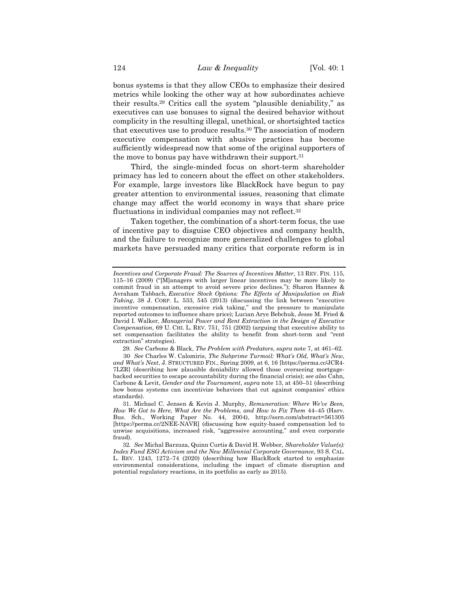bonus systems is that they allow CEOs to emphasize their desired metrics while looking the other way at how subordinates achieve their results.<sup>29</sup> Critics call the system "plausible deniability," as executives can use bonuses to signal the desired behavior without complicity in the resulting illegal, unethical, or shortsighted tactics that executives use to produce results.<sup>30</sup> The association of modern executive compensation with abusive practices has become sufficiently widespread now that some of the original supporters of the move to bonus pay have withdrawn their support.<sup>31</sup>

Third, the single-minded focus on short-term shareholder primacy has led to concern about the effect on other stakeholders. For example, large investors like BlackRock have begun to pay greater attention to environmental issues, reasoning that climate change may affect the world economy in ways that share price fluctuations in individual companies may not reflect.<sup>32</sup>

<span id="page-8-0"></span>Taken together, the combination of a short-term focus, the use of incentive pay to disguise CEO objectives and company health, and the failure to recognize more generalized challenges to global markets have persuaded many critics that corporate reform is in

29*. See* Carbone & Black, *The Problem with Predators*, *supra* not[e 7,](#page-3-0) at 461–62.

*Incentives and Corporate Fraud: The Sources of Incentives Matter*, 13 REV. FIN. 115, 115–16 (2009) ("[M]anagers with larger linear incentives may be more likely to commit fraud in an attempt to avoid severe price declines."); Sharon Hannes & Avraham Tabbach, *Executive Stock Options: The Effects of Manipulation on Risk Taking*, 38 J. CORP. L. 533, 545 (2013) (discussing the link between "executive incentive compensation, excessive risk taking," and the pressure to manipulate reported outcomes to influence share price); Lucian Arye Bebchuk, Jesse M. Fried & David I. Walker, *Managerial Power and Rent Extraction in the Design of Executive Compensation*, 69 U. CHI. L. REV. 751, 751 (2002) (arguing that executive ability to set compensation facilitates the ability to benefit from short-term and "rent extraction" strategies).

<sup>30</sup>. *See* Charles W. Calomiris, *The Subprime Turmoil: What's Old, What's New, and What's Next*, J. STRUCTURED FIN., Spring 2009, at 6, 16 [https://perma.cc/JCR4- 7LZR] (describing how plausible deniability allowed those overseeing mortgagebacked securities to escape accountability during the financial crisis); *see also* Cahn, Carbone & Levit, *Gender and the Tournament*, *supra* note [13,](#page-4-0) at 450–51 (describing how bonus systems can incentivize behaviors that cut against companies' ethics standards).

<sup>31.</sup> Michael C. Jensen & Kevin J. Murphy, *Remuneration: Where We've Been, How We Got to Here, What Are the Problems, and How to Fix Them* 44–45 (Harv. Bus. Sch., Working Paper No. 44, 2004), http://ssrn.com/abstract=561305 [https://perma.cc/2NEE-NAVR] (discussing how equity-based compensation led to unwise acquisitions, increased risk, "aggressive accounting," and even corporate fraud).

<sup>32</sup>*. See* Michal Barzuza, Quinn Curtis & David H. Webber, *Shareholder Value(s): Index Fund ESG Activism and the New Millennial Corporate Governance*, 93 S. CAL. L. REV. 1243, 1272–74 (2020) (describing how BlackRock started to emphasize environmental considerations, including the impact of climate disruption and potential regulatory reactions, in its portfolio as early as 2015).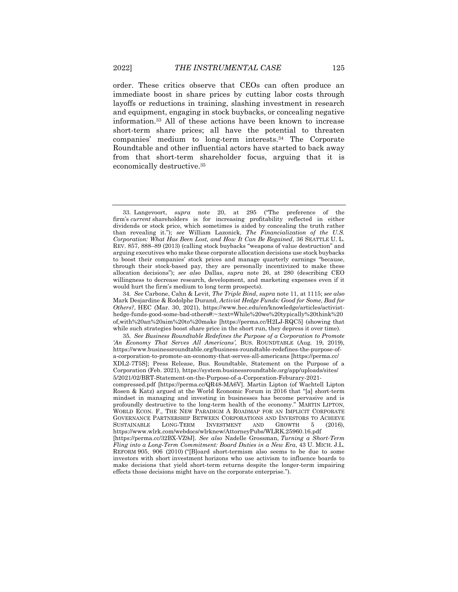order. These critics observe that CEOs can often produce an immediate boost in share prices by cutting labor costs through layoffs or reductions in training, slashing investment in research and equipment, engaging in stock buybacks, or concealing negative information.<sup>33</sup> All of these actions have been known to increase short-term share prices; all have the potential to threaten companies' medium to long-term interests.<sup>34</sup> The Corporate Roundtable and other influential actors have started to back away from that short-term shareholder focus, arguing that it is economically destructive.<sup>35</sup>

<span id="page-9-0"></span><sup>33.</sup> Langevoort, *supra* note [20,](#page-6-0) at 295 ("The preference of the firm's *current* shareholders is for increasing profitability reflected in either dividends or stock price, which sometimes is aided by concealing the truth rather than revealing it."); *see* William Lazonick, *The Financialization of the U.S. Corporation: What Has Been Lost, and How It Can Be Regained*, 36 SEATTLE U. L. REV. 857, 888–89 (2013) (calling stock buybacks "weapons of value destruction" and arguing executives who make these corporate allocation decisions use stock buybacks to boost their companies' stock prices and manage quarterly earnings "because, through their stock-based pay, they are personally incentivized to make these allocation decisions"); *see also* Dallas, *supra* note [26,](#page-7-0) at 280 (describing CEO willingness to decrease research, development, and marketing expenses even if it would hurt the firm's medium to long term prospects).

<sup>34</sup>*. See* Carbone, Cahn & Levit*, The Triple Bind*, *supra* not[e 11,](#page-3-1) at 1115; *see also*  Mark Desjardine & Rodolphe Durand, *Activist Hedge Funds: Good for Some, Bad for Others?*, HEC (Mar. 30, 2021), https://www.hec.edu/en/knowledge/articles/activisthedge-funds-good-some-bad-others#:~:text=While%20we%20typically%20think%20 of,with%20an%20aim%20to%20make [https://perma.cc/H2LJ-RQC5] (showing that while such strategies boost share price in the short run, they depress it over time).

<sup>35</sup>*. See Business Roundtable Redefines the Purpose of a Corporation to Promote 'An Economy That Serves All Americans'*, BUS. ROUNDTABLE (Aug. 19, 2019), https://www.businessroundtable.org/business-roundtable-redefines-the-purpose-ofa-corporation-to-promote-an-economy-that-serves-all-americans [https://perma.cc/ XDL2-7T5S]; Press Release, Bus. Roundtable, Statement on the Purpose of a Corporation (Feb. 2021), https://system.businessroundtable.org/app/uploads/sites/ 5/2021/02/BRT-Statement-on-the-Purpose-of-a-Corporation-Feburary-2021 compressed.pdf [https://perma.cc/QR48-MA6V]. Martin Lipton (of Wachtell Lipton

Rosen & Katz) argued at the World Economic Forum in 2016 that "[a] short-term mindset in managing and investing in businesses has become pervasive and is profoundly destructive to the long-term health of the economy." MARTIN LIPTON, WORLD ECON. F., THE NEW PARADIGM A ROADMAP FOR AN IMPLICIT CORPORATE GOVERNANCE PARTNERSHIP BETWEEN CORPORATIONS AND INVESTORS TO ACHIEVE<br>SUSTAINABLE LONG-TERM INVESTMENT AND GROWTH 5 (2016). SUSTAINABLE LONG-TERM INVESTMENT AND GROWTH 5 (2016), https://www.wlrk.com/webdocs/wlrknew/AttorneyPubs/WLRK.25960.16.pdf [https://perma.cc/32BX-VZ9J]. *See also* Nadelle Grossman, *Turning a Short-Term Fling into a Long-Term Commitment: Board Duties in a New Era*, 43 U. MICH. J.L. REFORM 905, 906 (2010) ("[B]oard short-termism also seems to be due to some investors with short investment horizons who use activism to influence boards to make decisions that yield short-term returns despite the longer-term impairing effects those decisions might have on the corporate enterprise.").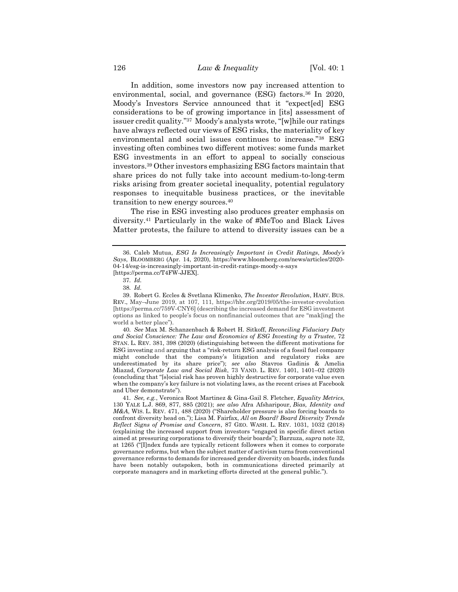In addition, some investors now pay increased attention to environmental, social, and governance (ESG) factors.<sup>36</sup> In 2020, Moody's Investors Service announced that it "expect[ed] ESG considerations to be of growing importance in [its] assessment of issuer credit quality."<sup>37</sup> Moody's analysts wrote, "[w]hile our ratings have always reflected our views of ESG risks, the materiality of key environmental and social issues continues to increase."<sup>38</sup> ESG investing often combines two different motives: some funds market ESG investments in an effort to appeal to socially conscious investors.<sup>39</sup> Other investors emphasizing ESG factors maintain that share prices do not fully take into account medium-to-long-term risks arising from greater societal inequality, potential regulatory responses to inequitable business practices, or the inevitable transition to new energy sources.<sup>40</sup>

<span id="page-10-0"></span>The rise in ESG investing also produces greater emphasis on diversity.<sup>41</sup> Particularly in the wake of #MeToo and Black Lives Matter protests, the failure to attend to diversity issues can be a

40*. See* Max M. Schanzenbach & Robert H. Sitkoff, *Reconciling Fiduciary Duty and Social Conscience: The Law and Economics of ESG Investing by a Trustee*, 72 STAN. L. REV. 381, 398 (2020) (distinguishing between the different motivations for ESG investing and arguing that a "risk-return ESG analysis of a fossil fuel company might conclude that the company's litigation and regulatory risks are underestimated by its share price"); *see also* Stavros Gadinis & Amelia Miazad, *Corporate Law and Social Risk*, 73 VAND. L. REV. 1401, 1401–02 (2020) (concluding that "[s]ocial risk has proven highly destructive for corporate value even when the company's key failure is not violating laws, as the recent crises at Facebook and Uber demonstrate").

<sup>36.</sup> Caleb Mutua, *ESG Is Increasingly Important in Credit Ratings*, *Moody's Says*, BLOOMBERG (Apr. 14, 2020), https://www.bloomberg.com/news/articles/2020- 04-14/esg-is-increasingly-important-in-credit-ratings-moody-s-says [https://perma.cc/T4FW-JJEX].

<sup>37</sup>*. Id.*

<sup>38</sup>*. Id.*

<sup>39.</sup> Robert G. Eccles & Svetlana Klimenko, *The Investor Revolution*, HARV. BUS. REV., May–June 2019, at 107, 111, https://hbr.org/2019/05/the-investor-revolution [https://perma.cc/759V-CNY6] (describing the increased demand for ESG investment options as linked to people's focus on nonfinancial outcomes that are "mak[ing] the world a better place").

<sup>41</sup>*. See, e.g.*, Veronica Root Martinez & Gina-Gail S. Fletcher, *Equality Metrics*, 130 YALE L.J. 869, 877, 885 (2021); *see also* Afra Afsharipour, *Bias, Identity and M&A*, WIS. L. REV. 471, 488 (2020) ("Shareholder pressure is also forcing boards to confront diversity head on."); Lisa M. Fairfax, *All on Board? Board Diversity Trends Reflect Signs of Promise and Concern*, 87 GEO. WASH. L. REV. 1031, 1032 (2018) (explaining the increased support from investors "engaged in specific direct action aimed at pressuring corporations to diversify their boards"); Barzuza, *supra* not[e 32,](#page-8-0)  at 1265 ("[I]ndex funds are typically reticent followers when it comes to corporate governance reforms, but when the subject matter of activism turns from conventional governance reforms to demands for increased gender diversity on boards, index funds have been notably outspoken, both in communications directed primarily at corporate managers and in marketing efforts directed at the general public.").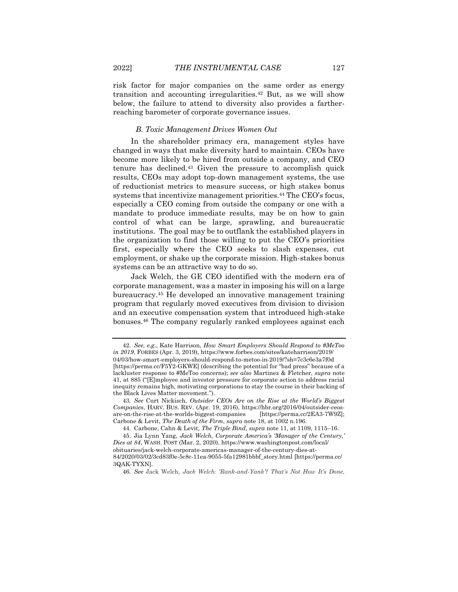risk factor for major companies on the same order as energy transition and accounting irregularities.<sup>42</sup> But, as we will show below, the failure to attend to diversity also provides a fartherreaching barometer of corporate governance issues.

### *B. Toxic Management Drives Women Out*

In the shareholder primacy era, management styles have changed in ways that make diversity hard to maintain. CEOs have become more likely to be hired from outside a company, and CEO tenure has declined.<sup>43</sup> Given the pressure to accomplish quick results, CEOs may adopt top-down management systems, the use of reductionist metrics to measure success, or high stakes bonus systems that incentivize management priorities.<sup>44</sup> The CEO's focus, especially a CEO coming from outside the company or one with a mandate to produce immediate results, may be on how to gain control of what can be large, sprawling, and bureaucratic institutions. The goal may be to outflank the established players in the organization to find those willing to put the CEO's priorities first, especially where the CEO seeks to slash expenses, cut employment, or shake up the corporate mission. High-stakes bonus systems can be an attractive way to do so.

<span id="page-11-1"></span>Jack Welch, the GE CEO identified with the modern era of corporate management, was a master in imposing his will on a large bureaucracy.<sup>45</sup> He developed an innovative management training program that regularly moved executives from division to division and an executive compensation system that introduced high-stake bonuses.<sup>46</sup> The company regularly ranked employees against each

<span id="page-11-0"></span><sup>42</sup>*. See, e.g.*, Kate Harrison, *How Smart Employers Should Respond to #MeToo in 2019*, FORBES (Apr. 3, 2019), https://www.forbes.com/sites/kateharrison/2019/ 04/03/how-smart-employers-should-respond-to-metoo-in-2019/?sh=7c3c6e3a7f0d [https://perma.cc/F5Y2-GKWE] (describing the potential for "bad press" because of a lackluster response to #MeToo concerns); *see also* Martinez & Fletcher, *supra* note [41,](#page-10-0) at 885 ("[E]mployee and investor pressure for corporate action to address racial inequity remains high, motivating corporations to stay the course in their backing of the Black Lives Matter movement.").

<sup>43</sup>*. See* Curt Nickisch, *Outsider CEOs Are on the Rise at the World's Biggest Companies*, HARV. BUS. REV. (Apr. 19, 2016), https://hbr.org/2016/04/outsider-ceosare-on-the-rise-at-the-worlds-biggest-companies [https://perma.cc/2EA3-7W9Z]; Carbone & Levit, *The Death of the Firm*, *supra* not[e 18,](#page-6-1) at 1002 n.196.

<sup>44.</sup> Carbone, Cahn & Levit*, The Triple Bind*, *supra* not[e 11,](#page-3-1) at 1109, 1115–16.

<sup>45.</sup> Jia Lynn Yang, *Jack Welch, Corporate America's 'Manager of the Century,' Dies at 84*, WASH. POST (Mar. 2, 2020), https://www.washingtonpost.com/local/ obituaries/jack-welch-corporate-americas-manager-of-the-century-dies-at-

<sup>84/2020/03/02/3</sup>cd83f0e-5c8c-11ea-9055-5fa12981bbbf\_story.html [https://perma.cc/ 3QAK-TYXN].

<sup>46</sup>*. See* Jack Welch, *Jack Welch: 'Rank-and-Yank'? That's Not How It's Done*,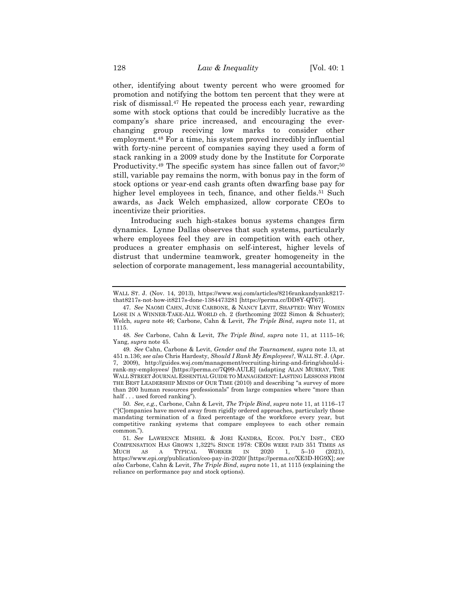other, identifying about twenty percent who were groomed for promotion and notifying the bottom ten percent that they were at risk of dismissal.<sup>47</sup> He repeated the process each year, rewarding some with stock options that could be incredibly lucrative as the company's share price increased, and encouraging the everchanging group receiving low marks to consider other employment.<sup>48</sup> For a time, his system proved incredibly influential with forty-nine percent of companies saying they used a form of stack ranking in a 2009 study done by the Institute for Corporate Productivity.<sup>49</sup> The specific system has since fallen out of favor;<sup>50</sup> still, variable pay remains the norm, with bonus pay in the form of stock options or year-end cash grants often dwarfing base pay for higher level employees in tech, finance, and other fields.<sup>51</sup> Such awards, as Jack Welch emphasized, allow corporate CEOs to incentivize their priorities.

<span id="page-12-0"></span>Introducing such high-stakes bonus systems changes firm dynamics. Lynne Dallas observes that such systems, particularly where employees feel they are in competition with each other, produces a greater emphasis on self-interest, higher levels of distrust that undermine teamwork, greater homogeneity in the selection of corporate management, less managerial accountability,

WALL ST. J. (Nov. 14, 2013), https://www.wsj.com/articles/8216rankandyank8217 that8217s-not-how-it8217s-done-1384473281 [https://perma.cc/DD8Y-QT67].

<sup>47</sup>*. See* NAOMI CAHN, JUNE CARBONE, & NANCY LEVIT, SHAFTED: WHY WOMEN LOSE IN A WINNER-TAKE-ALL WORLD ch. 2 (forthcoming 2022 Simon & Schuster); Welch, *supra* note [46;](#page-11-0) Carbone, Cahn & Levit*, The Triple Bind*, *supra* note [11,](#page-3-1) at 1115.

<sup>48</sup>*. See* Carbone, Cahn & Levit*, The Triple Bind*, *supra* note [11,](#page-3-1) at 1115–16; Yang, *supra* not[e 45.](#page-11-1)

<sup>49</sup>*. See* Cahn, Carbone & Levit, *Gender and the Tournament*, *supra* note [13,](#page-4-0) at 451 n.136; *see also* Chris Hardesty, *Should I Rank My Employees?*, WALL ST. J. (Apr. 7, 2009), http://guides.wsj.com/management/recruiting-hiring-and-firing/should-irank-my-employees/ [https://perma.cc/7Q99-AULE] (adapting ALAN MURRAY, THE WALL STREET JOURNAL ESSENTIAL GUIDE TO MANAGEMENT: LASTING LESSONS FROM THE BEST LEADERSHIP MINDS OF OUR TIME (2010) and describing "a survey of more than 200 human resources professionals" from large companies where "more than half . . . used forced ranking").

<sup>50</sup>*. See, e.g.*, Carbone, Cahn & Levit*, The Triple Bind*, *supra* note [11,](#page-3-1) at 1116–17 ("[C]ompanies have moved away from rigidly ordered approaches, particularly those mandating termination of a fixed percentage of the workforce every year, but competitive ranking systems that compare employees to each other remain common.").

<sup>51</sup>*. See* LAWRENCE MISHEL & JORI KANDRA, ECON. POL'Y INST., CEO COMPENSATION HAS GROWN 1,322% SINCE 1978: CEOS WERE PAID 351 TIMES AS MUCH AS A TYPICAL WORKER IN 2020 1, 5-10 (2021). A TYPICAL WORKER IN 2020 1, 5-10 (2021), https://www.epi.org/publication/ceo-pay-in-2020/ [https://perma.cc/XE3D-HG9X]; *see also* Carbone, Cahn & Levit, *The Triple Bind*, *supra* not[e 11,](#page-3-1) at 1115 (explaining the reliance on performance pay and stock options).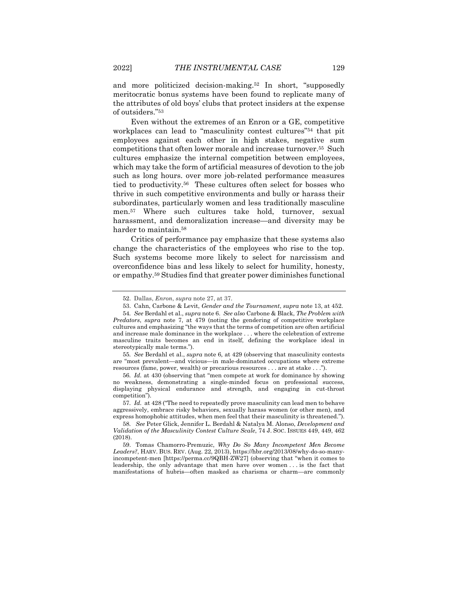and more politicized decision-making.<sup>52</sup> In short, "supposedly meritocratic bonus systems have been found to replicate many of the attributes of old boys' clubs that protect insiders at the expense of outsiders."<sup>53</sup>

<span id="page-13-2"></span>Even without the extremes of an Enron or a GE, competitive workplaces can lead to "masculinity contest cultures"<sup>54</sup> that pit employees against each other in high stakes, negative sum competitions that often lower morale and increase turnover.<sup>55</sup> Such cultures emphasize the internal competition between employees, which may take the form of artificial measures of devotion to the job such as long hours. over more job-related performance measures tied to productivity. <sup>56</sup> These cultures often select for bosses who thrive in such competitive environments and bully or harass their subordinates, particularly women and less traditionally masculine men.<sup>57</sup> Where such cultures take hold, turnover, sexual harassment, and demoralization increase—and diversity may be harder to maintain.<sup>58</sup>

<span id="page-13-3"></span><span id="page-13-1"></span>Critics of performance pay emphasize that these systems also change the characteristics of the employees who rise to the top. Such systems become more likely to select for narcissism and overconfidence bias and less likely to select for humility, honesty, or empathy.<sup>59</sup> Studies find that greater power diminishes functional

55*. See* Berdahl et al., *supra* not[e 6](#page-3-2)*,* at 429 (observing that masculinity contests are "most prevalent—and vicious—in male-dominated occupations where extreme resources (fame, power, wealth) or precarious resources . . . are at stake . . .").

56*. Id.* at 430 (observing that "men compete at work for dominance by showing no weakness, demonstrating a single-minded focus on professional success, displaying physical endurance and strength, and engaging in cut-throat competition").

57*. Id.* at 428 ("The need to repeatedly prove masculinity can lead men to behave aggressively, embrace risky behaviors, sexually harass women (or other men), and express homophobic attitudes, when men feel that their masculinity is threatened.").

<span id="page-13-0"></span><sup>52.</sup> Dallas, *Enron*, *supra* not[e 27,](#page-7-1) at 37.

<sup>53.</sup> Cahn, Carbone & Levit, *Gender and the Tournament*, *supra* not[e 13,](#page-4-0) at 452.

<sup>54</sup>*. See* Berdahl et al., *supra* not[e 6.](#page-3-2) *See also* Carbone & Black, *The Problem with Predators*, *supra* note [7,](#page-3-0) at 479 (noting the gendering of competitive workplace cultures and emphasizing "the ways that the terms of competition are often artificial and increase male dominance in the workplace . . . where the celebration of extreme masculine traits becomes an end in itself, defining the workplace ideal in stereotypically male terms.").

<sup>58</sup>*. See* Peter Glick, Jennifer L. Berdahl & Natalya M. Alonso, *Development and Validation of the Masculinity Contest Culture Scale*, 74 J. SOC. ISSUES 449, 449, 462 (2018).

<sup>59.</sup> Tomas Chamorro-Premuzic, *Why Do So Many Incompetent Men Become Leaders?*, HARV. BUS. REV. (Aug. 22, 2013), https://hbr.org/2013/08/why-do-so-manyincompetent-men [https://perma.cc/9QBH-ZW27] (observing that "when it comes to leadership, the only advantage that men have over women . . . is the fact that manifestations of hubris—often masked as charisma or charm—are commonly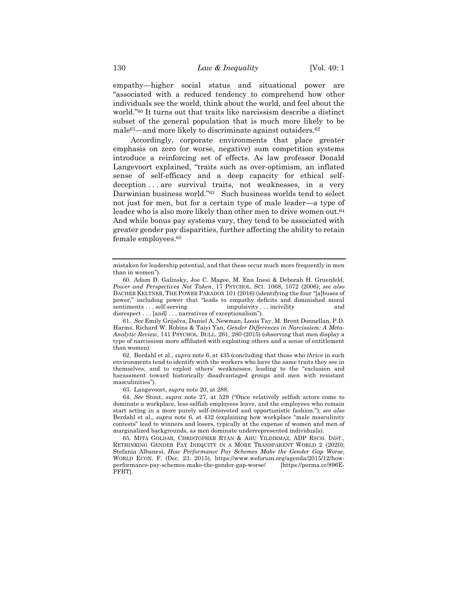empathy—higher social status and situational power are "associated with a reduced tendency to comprehend how other individuals see the world, think about the world, and feel about the world."<sup>60</sup> It turns out that traits like narcissism describe a distinct subset of the general population that is much more likely to be male<sup>61</sup>—and more likely to discriminate against outsiders.<sup>62</sup>

Accordingly, corporate environments that place greater emphasis on zero (or worse, negative) sum competition systems introduce a reinforcing set of effects. As law professor Donald Langevoort explained, "traits such as over-optimism, an inflated sense of self-efficacy and a deep capacity for ethical selfdeception . . . are survival traits, not weaknesses, in a very Darwinian business world."63 Such business worlds tend to select not just for men, but for a certain type of male leader—a type of leader who is also more likely than other men to drive women out.<sup>64</sup> And while bonus pay systems vary, they tend to be associated with greater gender pay disparities, further affecting the ability to retain female employees.<sup>65</sup>

61*. See* Emily Grijalva, Daniel A. Newman, Louis Tay, M. Brent Donnellan, P.D. Harms, Richard W. Robins & Taiyi Yan, *Gender Differences in Narcissism: A Meta-Analytic Review*, 141 PSYCHOL. BULL. 261, 280 (2015) (observing that men display a type of narcissism more affiliated with exploiting others and a sense of entitlement than women).

62. Berdahl et al., *supra* not[e 6,](#page-3-2) at 435 (concluding that those who *thrive* in such environments tend to identify with the workers who have the same traits they see in themselves, and to exploit others' weaknesses, leading to the "exclusion and harassment toward historically disadvantaged groups and men with resistant masculinities").

63. Langevoort, *supra* note [20,](#page-6-0) at 288.

64*. See* Stout, *supra* note [27,](#page-7-1) at 529 ("Once relatively selfish actors come to dominate a workplace, less-selfish employees leave, and the employees who remain start acting in a more purely self-interested and opportunistic fashion."); *see also* Berdahl et al., *supra* note [6,](#page-3-2) at 432 (explaining how workplace "male masculinity contests" lead to winners and losers, typically at the expense of women and men of marginalized backgrounds, as men dominate underrepresented individuals).

65. MITA GOLDAR, CHRISTOPHER RYAN & AHU YILDIRMAZ, ADP RSCH. INST., RETHINKING GENDER PAY INEQUITY IN A MORE TRANSPARENT WORLD 2 (2020); Stefania Albanesi, *How Performance Pay Schemes Make the Gender Gap Worse*, WORLD ECON. F. (Dec. 23, 2015), https://www.weforum.org/agenda/2015/12/howperformance-pay-schemes-make-the-gender-gap-worse/ [https://perma.cc/896E-PFBT].

mistaken for leadership potential, and that these occur much more frequently in men than in women").

<sup>60.</sup> Adam D. Galinsky, Joe C. Magee, M. Ena Inesi & Deborah H. Gruenfeld, *Power and Perspectives Not Taken*, 17 PSYCHOL. SCI. 1068, 1072 (2006); *see also*  DACHER KELTNER, THE POWER PARADOX 101 (2016) (identifying the four "[a]buses of power," including power that "leads to empathy deficits and diminished moral sentiments . . . self-serving impulsivity . . . incivility and disrespect . . . [and] . . . narratives of exceptionalism").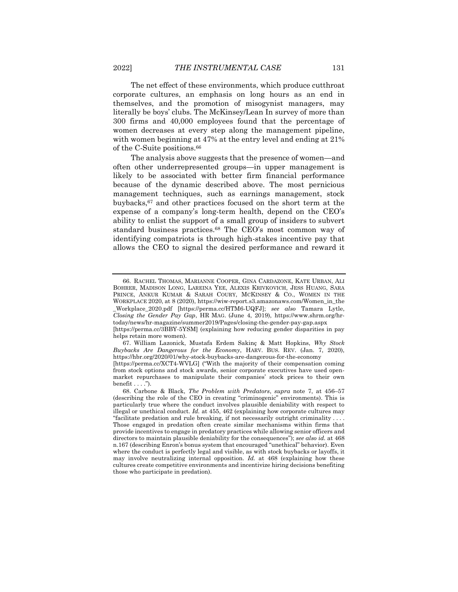The net effect of these environments, which produce cutthroat corporate cultures, an emphasis on long hours as an end in themselves, and the promotion of misogynist managers, may literally be boys' clubs. The McKinsey/Lean In survey of more than 300 firms and 40,000 employees found that the percentage of women decreases at every step along the management pipeline, with women beginning at 47% at the entry level and ending at 21% of the C-Suite positions.<sup>66</sup>

<span id="page-15-0"></span>The analysis above suggests that the presence of women—and often other underrepresented groups—in upper management is likely to be associated with better firm financial performance because of the dynamic described above. The most pernicious management techniques, such as earnings management, stock buybacks,<sup>67</sup> and other practices focused on the short term at the expense of a company's long-term health, depend on the CEO's ability to enlist the support of a small group of insiders to subvert standard business practices.<sup>68</sup> The CEO's most common way of identifying compatriots is through high-stakes incentive pay that allows the CEO to signal the desired performance and reward it

<sup>66.</sup> RACHEL THOMAS, MARIANNE COOPER, GINA CARDAZONE, KATE URBAN, ALI BOHRER, MADISON LONG, LAREINA YEE, ALEXIS KRIVKOVICH, JESS HUANG, SARA PRINCE, ANKUR KUMAR & SARAH COURY, MCKINSEY & CO., WOMEN IN THE WORKPLACE 2020, at 8 (2020), [https://wiw-report.s3.amazonaws.com/Women\\_in\\_the](https://wiw-report.s3.amazonaws.com/Women_in_the) \_Workplace\_2020.pdf [https://perma.cc/HTM6-UQFJ]; *see also* Tamara Lytle, *Closing the Gender Pay Gap*, HR MAG. (June 4, 2019), https://www.shrm.org/hrtoday/news/hr-magazine/summer2019/Pages/closing-the-gender-pay-gap.aspx [https://perma.cc/3BBY-5YSM] (explaining how reducing gender disparities in pay helps retain more women).

<sup>67.</sup> William Lazonick, Mustafa Erdem Sakinç & Matt Hopkins, *Why Stock Buybacks Are Dangerous for the Economy*, HARV. BUS. REV. (Jan. 7, 2020), https://hbr.org/2020/01/why-stock-buybacks-are-dangerous-for-the-economy [https://perma.cc/XCT4-WVLG] ("With the majority of their compensation coming

from stock options and stock awards, senior corporate executives have used openmarket repurchases to manipulate their companies' stock prices to their own benefit . . . .").

<sup>68.</sup> Carbone & Black, *The Problem with Predators*, *supra* note [7,](#page-3-0) at 456–57 (describing the role of the CEO in creating "criminogenic" environments). This is particularly true where the conduct involves plausible deniability with respect to illegal or unethical conduct. *Id.* at 455, 462 (explaining how corporate cultures may "facilitate predation and rule breaking, if not necessarily outright criminality.

Those engaged in predation often create similar mechanisms within firms that provide incentives to engage in predatory practices while allowing senior officers and directors to maintain plausible deniability for the consequences"); *see also id.* at 468 n.167 (describing Enron's bonus system that encouraged "unethical" behavior). Even where the conduct is perfectly legal and visible, as with stock buybacks or layoffs, it may involve neutralizing internal opposition. *Id.* at 468 (explaining how these cultures create competitive environments and incentivize hiring decisions benefiting those who participate in predation).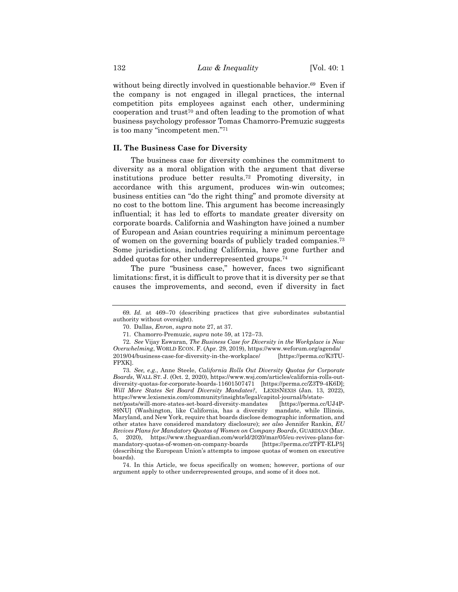without being directly involved in questionable behavior.<sup>69</sup> Even if the company is not engaged in illegal practices, the internal competition pits employees against each other, undermining cooperation and trust<sup>70</sup> and often leading to the promotion of what business psychology professor Tomas Chamorro-Premuzic suggests is too many "incompetent men."<sup>71</sup>

# **II. The Business Case for Diversity**

<span id="page-16-0"></span>The business case for diversity combines the commitment to diversity as a moral obligation with the argument that diverse institutions produce better results.<sup>72</sup> Promoting diversity, in accordance with this argument, produces win-win outcomes; business entities can "do the right thing" and promote diversity at no cost to the bottom line. This argument has become increasingly influential; it has led to efforts to mandate greater diversity on corporate boards. California and Washington have joined a number of European and Asian countries requiring a minimum percentage of women on the governing boards of publicly traded companies.<sup>73</sup> Some jurisdictions, including California, have gone further and added quotas for other underrepresented groups.<sup>74</sup>

The pure "business case," however, faces two significant limitations: first, it is difficult to prove that it is diversity per se that causes the improvements, and second, even if diversity in fact

<sup>69</sup>*. Id.* at 469–70 (describing practices that give subordinates substantial authority without oversight).

<sup>70.</sup> Dallas, *Enron*, *supra* not[e 27,](#page-7-1) at 37.

<sup>71.</sup> Chamorro-Premuzic, *supra* note [59,](#page-13-0) at 172–73.

<sup>72</sup>*. See* Vijay Eswaran, *The Business Case for Diversity in the Workplace is Now Overwhelming*, WORLD ECON. F. (Apr. 29, 2019), https://www.weforum.org/agenda/ 2019/04/business-case-for-diversity-in-the-workplace/ [https://perma.cc/K3TU-FPXK].

<sup>73</sup>*. See, e.g.*, Anne Steele, *California Rolls Out Diversity Quotas for Corporate Boards*, WALL ST. J. (Oct. 2, 2020), https://www.wsj.com/articles/california-rolls-outdiversity-quotas-for-corporate-boards-11601507471 [https://perma.cc/Z3T9-4K6D]; *Will More States Set Board Diversity Mandates?*,LEXISNEXIS (Jan. 13, 2022), https://www.lexisnexis.com/community/insights/legal/capitol-journal/b/statenet/posts/will-more-states-set-board-diversity-mandates [https://perma.cc/UJ4P-

<sup>89</sup>NU] (Washington, like California, has a diversity mandate, while Illinois, Maryland, and New York, require that boards disclose demographic information, and other states have considered mandatory disclosure); *see also* Jennifer Rankin, *EU Revives Plans for Mandatory Quotas of Women on Company Boards*, GUARDIAN (Mar. 5, 2020), https://www.theguardian.com/world/2020/mar/05/eu-revives-plans-formandatory-quotas-of-women-on-company-boards [https://perma.cc/2TFT-ELP5] (describing the European Union's attempts to impose quotas of women on executive boards).

<sup>74.</sup> In this Article, we focus specifically on women; however, portions of our argument apply to other underrepresented groups, and some of it does not.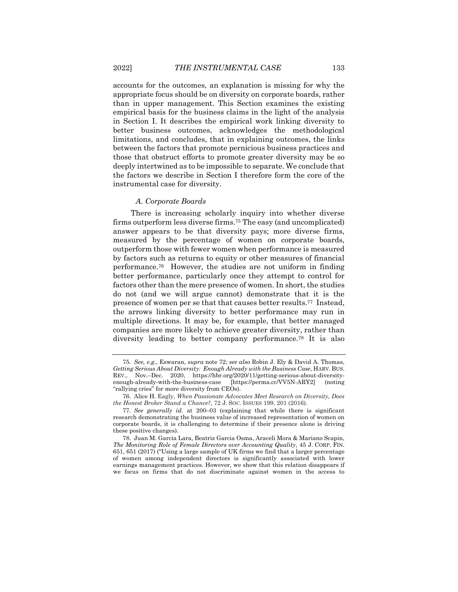accounts for the outcomes, an explanation is missing for why the appropriate focus should be on diversity on corporate boards, rather than in upper management. This Section examines the existing empirical basis for the business claims in the light of the analysis in Section I. It describes the empirical work linking diversity to better business outcomes, acknowledges the methodological limitations, and concludes, that in explaining outcomes, the links between the factors that promote pernicious business practices and those that obstruct efforts to promote greater diversity may be so deeply intertwined as to be impossible to separate. We conclude that the factors we describe in Section I therefore form the core of the instrumental case for diversity.

#### <span id="page-17-0"></span>*A. Corporate Boards*

There is increasing scholarly inquiry into whether diverse firms outperform less diverse firms.<sup>75</sup> The easy (and uncomplicated) answer appears to be that diversity pays; more diverse firms, measured by the percentage of women on corporate boards, outperform those with fewer women when performance is measured by factors such as returns to equity or other measures of financial performance.76 However, the studies are not uniform in finding better performance, particularly once they attempt to control for factors other than the mere presence of women. In short, the studies do not (and we will argue cannot) demonstrate that it is the presence of women per se that that causes better results.77 Instead, the arrows linking diversity to better performance may run in multiple directions. It may be, for example, that better managed companies are more likely to achieve greater diversity, rather than diversity leading to better company performance.<sup>78</sup> It is also

<span id="page-17-1"></span><sup>75</sup>*. See, e.g.*, Eswaran, *supra* note [72;](#page-16-0) *see also* Robin J. Ely & David A. Thomas, *Getting Serious About Diversity: Enough Already with the Business Case*, HARV. BUS. REV., Nov.–Dec. 2020, https://hbr.org/2020/11/getting-serious-about-diversityenough-already-with-the-business-case [https://perma.cc/VV5N-ARY2] (noting "rallying cries" for more diversity from CEOs).

<sup>76.</sup> Alice H. Eagly, *When Passionate Advocates Meet Research on Diversity, Does the Honest Broker Stand a Chance?*, 72 J. SOC. ISSUES 199, 201 (2016).

<sup>77</sup>*. See generally id.* at 200–03 (explaining that while there is significant research demonstrating the business value of increased representation of women on corporate boards, it is challenging to determine if their presence alone is driving these positive changes).

<sup>78.</sup> Juan M. Garcia Lara, Beatriz Garcia Osma, Araceli Mora & Mariano Scapin, *The Monitoring Role of Female Directors over Accounting Quality*, 45 J. CORP. FIN. 651, 651 (2017) ("Using a large sample of UK firms we find that a larger percentage of women among independent directors is significantly associated with lower earnings management practices. However, we show that this relation disappears if we focus on firms that do not discriminate against women in the access to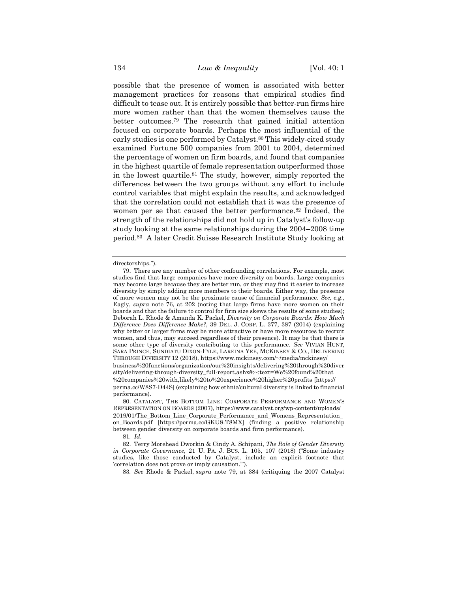<span id="page-18-0"></span>possible that the presence of women is associated with better management practices for reasons that empirical studies find difficult to tease out. It is entirely possible that better-run firms hire more women rather than that the women themselves cause the better outcomes.<sup>79</sup> The research that gained initial attention focused on corporate boards. Perhaps the most influential of the early studies is one performed by Catalyst.<sup>80</sup> This widely-cited study examined Fortune 500 companies from 2001 to 2004, determined the percentage of women on firm boards, and found that companies in the highest quartile of female representation outperformed those in the lowest quartile.<sup>81</sup> The study, however, simply reported the differences between the two groups without any effort to include control variables that might explain the results, and acknowledged that the correlation could not establish that it was the presence of women per se that caused the better performance.<sup>82</sup> Indeed, the strength of the relationships did not hold up in Catalyst's follow-up study looking at the same relationships during the 2004–2008 time period.83 A later Credit Suisse Research Institute Study looking at

81*. Id.*

83*. See* Rhode & Packel, *supra* note [79,](#page-18-0) at 384 (critiquing the 2007 Catalyst

directorships.").

<sup>79.</sup> There are any number of other confounding correlations. For example, most studies find that large companies have more diversity on boards. Large companies may become large because they are better run, or they may find it easier to increase diversity by simply adding more members to their boards. Either way, the presence of more women may not be the proximate cause of financial performance. *See, e.g.*, Eagly, *supra* note [76,](#page-17-0) at 202 (noting that large firms have more women on their boards and that the failure to control for firm size skews the results of some studies); Deborah L. Rhode & Amanda K. Packel, *Diversity on Corporate Boards: How Much Difference Does Difference Make?*, 39 DEL. J. CORP. L. 377, 387 (2014) (explaining why better or larger firms may be more attractive or have more resources to recruit women, and thus, may succeed regardless of their presence). It may be that there is some other type of diversity contributing to this performance. *See* VIVIAN HUNT, SARA PRINCE, SUNDIATU DIXON-FYLE, LAREINA YEE, MCKINSEY & CO., DELIVERING THROUGH DIVERSITY 12 (2018), https://www.mckinsey.com/~/media/mckinsey/ business%20functions/organization/our%20insights/delivering%20through%20diver sity/delivering-through-diversity\_full-report.ashx#:~:text=We%20found%20that %20companies%20with,likely%20to%20experience%20higher%20profits [https:// perma.cc/W8S7-D44S] (explaining how ethnic/cultural diversity is linked to financial performance).

<sup>80.</sup> CATALYST, THE BOTTOM LINE: CORPORATE PERFORMANCE AND WOMEN'S REPRESENTATION ON BOARDS (2007), https://www.catalyst.org/wp-content/uploads/ 2019/01/The\_Bottom\_Line\_Corporate\_Performance\_and\_Womens\_Representation\_ on\_Boards.pdf [https://perma.cc/GKU8-T8MX] (finding a positive relationship between gender diversity on corporate boards and firm performance).

<sup>82.</sup> Terry Morehead Dworkin & Cindy A. Schipani, *The Role of Gender Diversity in Corporate Governance*, 21 U. PA. J. BUS. L. 105, 107 (2018) ("Some industry studies, like those conducted by Catalyst, include an explicit footnote that 'correlation does not prove or imply causation.'").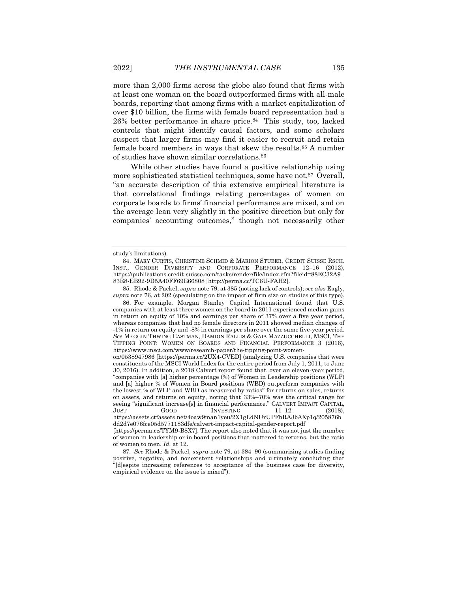more than 2,000 firms across the globe also found that firms with at least one woman on the board outperformed firms with all-male boards, reporting that among firms with a market capitalization of over \$10 billion, the firms with female board representation had a 26% better performance in share price.84 This study, too, lacked controls that might identify causal factors, and some scholars suspect that larger firms may find it easier to recruit and retain female board members in ways that skew the results.<sup>85</sup> A number of studies have shown similar correlations.<sup>86</sup>

While other studies have found a positive relationship using more sophisticated statistical techniques, some have not.87 Overall, "an accurate description of this extensive empirical literature is that correlational findings relating percentages of women on corporate boards to firms' financial performance are mixed, and on the average lean very slightly in the positive direction but only for companies' accounting outcomes," though not necessarily other

study's limitations).

<sup>84.</sup> MARY CURTIS, CHRISTINE SCHMID & MARION STUBER, CREDIT SUISSE RSCH. INST., GENDER DIVERSITY AND CORPORATE PERFORMANCE 12–16 (2012), https://publications.credit-suisse.com/tasks/render/file/index.cfm?fileid=88EC32A9- 83E8-EB92-9D5A40FF69E66808 [http://perma.cc/TC6U-FAH2].

<sup>85.</sup> Rhode & Packel, *supra* not[e 79,](#page-18-0) at 385 (noting lack of controls); *see also* Eagly, *supra* note [76,](#page-17-0) at 202 (speculating on the impact of firm size on studies of this type).

<sup>86.</sup> For example, Morgan Stanley Capital International found that U.S. companies with at least three women on the board in 2011 experienced median gains in return on equity of 10% and earnings per share of 37% over a five year period, whereas companies that had no female directors in 2011 showed median changes of -1% in return on equity and -8% in earnings per share over the same five-year period. *See* MEGGIN THWING EASTMAN, DAMION RALLIS & GAIA MAZZUCCHELLI, MSCI, THE TIPPING POINT: WOMEN ON BOARDS AND FINANCIAL PERFORMANCE 3 (2016), https://www.msci.com/www/research-paper/the-tipping-point-women-

on/0538947986 [https://perma.cc/2UX4-CVED] (analyzing U.S. companies that were constituents of the MSCI World Index for the entire period from July 1, 2011, to June 30, 2016). In addition, a 2018 Calvert report found that, over an eleven-year period, "companies with [a] higher percentage (%) of Women in Leadership positions (WLP) and [a] higher % of Women in Board positions (WBD) outperform companies with the lowest % of WLP and WBD as measured by ratios" for returns on sales, returns on assets, and returns on equity, noting that 33%–70% was the critical range for seeing "significant increase[s] in financial performance." CALVERT IMPACT CAPITAL, JUST GOOD INVESTING  $11-12$  (2018), https://assets.ctfassets.net/4oaw9man1yeu/2X1gLdNUrUPFhRAJbAXp1q/205876b

dd2d7e076fce05d5771183dfe/calvert-impact-capital-gender-report.pdf [https://perma.cc/TYM9-B8X7]. The report also noted that it was not just the number

of women in leadership or in board positions that mattered to returns, but the ratio of women to men. *Id.* at 12.

<sup>87</sup>*. See* Rhode & Packel, *supra* not[e 79,](#page-18-0) at 384–90 (summarizing studies finding positive, negative, and nonexistent relationships and ultimately concluding that "[d]espite increasing references to acceptance of the business case for diversity, empirical evidence on the issue is mixed").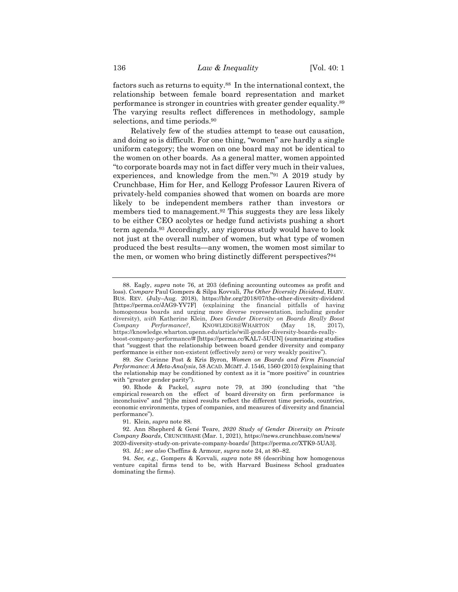<span id="page-20-0"></span>factors such as returns to equity.88 In the international context, the relationship between female board representation and market performance is stronger in countries with greater gender equality.<sup>89</sup> The varying results reflect differences in methodology, sample selections, and time periods.<sup>90</sup>

Relatively few of the studies attempt to tease out causation, and doing so is difficult. For one thing, "women" are hardly a single uniform category; the women on one board may not be identical to the women on other boards. As a general matter, women appointed "to corporate boards may not in fact differ very much in their values, experiences, and knowledge from the men."<sup>91</sup> A 2019 study by Crunchbase, Him for Her, and Kellogg Professor Lauren Rivera of privately-held companies showed that women on boards are more likely to be independent members rather than investors or members tied to management.<sup>92</sup> This suggests they are less likely to be either CEO acolytes or hedge fund activists pushing a short term agenda.<sup>93</sup> Accordingly, any rigorous study would have to look not just at the overall number of women, but what type of women produced the best results—any women, the women most similar to the men, or women who bring distinctly different perspectives?<sup>94</sup>

<span id="page-20-1"></span><sup>88.</sup> Eagly, *supra* note [76,](#page-17-0) at 203 (defining accounting outcomes as profit and loss). *Compare* Paul Gompers & Silpa Kovvali, *The Other Diversity Dividend*, HARV. BUS. REV. (July–Aug. 2018), https://hbr.org/2018/07/the-other-diversity-dividend [https://perma.cc/JAG9-YV7F] (explaining the financial pitfalls of having homogenous boards and urging more diverse representation, including gender diversity), *with* Katherine Klein, *Does Gender Diversity on Boards Really Boost Company Performance?*, KNOWLEDGE@WHARTON (May 18, 2017), https://knowledge.wharton.upenn.edu/article/will-gender-diversity-boards-reallyboost-company-performance/# [https://perma.cc/KAL7-5UUN] (summarizing studies that "suggest that the relationship between board gender diversity and company performance is either non-existent (effectively zero) or very weakly positive").

<sup>89</sup>*. See* Corinne Post & Kris Byron, *Women on Boards and Firm Financial Performance: A Meta-Analysis*, 58 ACAD. MGMT. J. 1546, 1560 (2015) (explaining that the relationship may be conditioned by context as it is "more positive" in countries with "greater gender parity").

<sup>90.</sup> Rhode & Packel, *supra* note [79,](#page-18-0) at 390 (concluding that "the empirical research on the effect of board diversity on firm performance is inconclusive" and "[t]he mixed results reflect the different time periods, countries, economic environments, types of companies, and measures of diversity and financial performance").

<sup>91.</sup> Klein, *supra* not[e 88.](#page-20-0)

<sup>92.</sup> Ann Shepherd & Gené Teare, *2020 Study of Gender Diversity on Private Company Boards*, CRUNCHBASE (Mar. 1, 2021), https://news.crunchbase.com/news/ 2020-diversity-study-on-private-company-boards/ [https://perma.cc/XTK9-5UA3].

<sup>93</sup>*. Id.*; *see also* Cheffins & Armour, *supra* note [24,](#page-7-2) at 80–82.

<sup>94</sup>*. See, e.g.*, Gompers & Kovvali, *supra* note [88](#page-20-0) (describing how homogenous venture capital firms tend to be, with Harvard Business School graduates dominating the firms).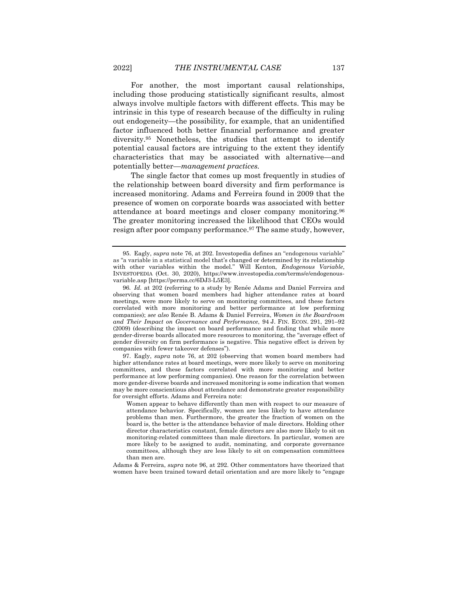For another, the most important causal relationships, including those producing statistically significant results, almost always involve multiple factors with different effects. This may be intrinsic in this type of research because of the difficulty in ruling out endogeneity—the possibility, for example, that an unidentified factor influenced both better financial performance and greater diversity.<sup>95</sup> Nonetheless, the studies that attempt to identify potential causal factors are intriguing to the extent they identify characteristics that may be associated with alternative—and potentially better—*management practices.*

<span id="page-21-0"></span>The single factor that comes up most frequently in studies of the relationship between board diversity and firm performance is increased monitoring. Adams and Ferreira found in 2009 that the presence of women on corporate boards was associated with better attendance at board meetings and closer company monitoring.<sup>96</sup> The greater monitoring increased the likelihood that CEOs would resign after poor company performance.<sup>97</sup> The same study, however,

97. Eagly, *supra* note [76,](#page-17-0) at 202 (observing that women board members had higher attendance rates at board meetings, were more likely to serve on monitoring committees, and these factors correlated with more monitoring and better performance at low performing companies). One reason for the correlation between more gender-diverse boards and increased monitoring is some indication that women may be more conscientious about attendance and demonstrate greater responsibility for oversight efforts. Adams and Ferreira note:

Adams & Ferreira, *supra* note [96,](#page-21-0) at 292. Other commentators have theorized that women have been trained toward detail orientation and are more likely to "engage

<sup>95.</sup> Eagly, *supra* note [76,](#page-17-0) at 202. Investopedia defines an "endogenous variable" as "a variable in a statistical model that's changed or determined by its relationship with other variables within the model." Will Kenton, *Endogenous Variable*, INVESTOPEDIA (Oct. 30, 2020), https://www.investopedia.com/terms/e/endogenousvariable.asp [https://perma.cc/6DJ3-L5E3].

<sup>96</sup>*. Id.* at 202 (referring to a study by Renée Adams and Daniel Ferreira and observing that women board members had higher attendance rates at board meetings, were more likely to serve on monitoring committees, and these factors correlated with more monitoring and better performance at low performing companies); *see also* Renée B. Adams & Daniel Ferreira, *Women in the Boardroom and Their Impact on Governance and Performance*, 94 J. FIN. ECON. 291, 291–92 (2009) (describing the impact on board performance and finding that while more gender-diverse boards allocated more resources to monitoring, the "average effect of gender diversity on firm performance is negative. This negative effect is driven by companies with fewer takeover defenses").

Women appear to behave differently than men with respect to our measure of attendance behavior. Specifically, women are less likely to have attendance problems than men. Furthermore, the greater the fraction of women on the board is, the better is the attendance behavior of male directors. Holding other director characteristics constant, female directors are also more likely to sit on monitoring-related committees than male directors. In particular, women are more likely to be assigned to audit, nominating, and corporate governance committees, although they are less likely to sit on compensation committees than men are.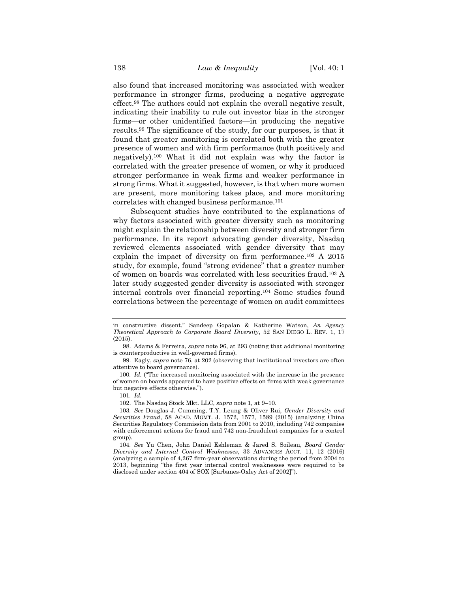also found that increased monitoring was associated with weaker performance in stronger firms, producing a negative aggregate effect.<sup>98</sup> The authors could not explain the overall negative result, indicating their inability to rule out investor bias in the stronger firms—or other unidentified factors—in producing the negative results.<sup>99</sup> The significance of the study, for our purposes, is that it found that greater monitoring is correlated both with the greater presence of women and with firm performance (both positively and negatively).<sup>100</sup> What it did not explain was why the factor is correlated with the greater presence of women, or why it produced stronger performance in weak firms and weaker performance in strong firms. What it suggested, however, is that when more women are present, more monitoring takes place, and more monitoring correlates with changed business performance.<sup>101</sup>

Subsequent studies have contributed to the explanations of why factors associated with greater diversity such as monitoring might explain the relationship between diversity and stronger firm performance. In its report advocating gender diversity, Nasdaq reviewed elements associated with gender diversity that may explain the impact of diversity on firm performance.<sup>102</sup> A 2015 study, for example, found "strong evidence" that a greater number of women on boards was correlated with less securities fraud.<sup>103</sup> A later study suggested gender diversity is associated with stronger internal controls over financial reporting.<sup>104</sup> Some studies found correlations between the percentage of women on audit committees

<span id="page-22-1"></span><span id="page-22-0"></span>in constructive dissent." Sandeep Gopalan & Katherine Watson, *An Agency Theoretical Approach to Corporate Board Diversity*, 52 SAN DIEGO L. REV. 1, 17 (2015).

<sup>98.</sup> Adams & Ferreira, *supra* note [96,](#page-21-0) at 293 (noting that additional monitoring is counterproductive in well-governed firms).

<sup>99.</sup> Eagly, *supra* not[e 76,](#page-17-0) at 202 (observing that institutional investors are often attentive to board governance).

<sup>100</sup>*. Id.* ("The increased monitoring associated with the increase in the presence of women on boards appeared to have positive effects on firms with weak governance but negative effects otherwise.").

<sup>101</sup>*. Id.*

<sup>102.</sup> The Nasdaq Stock Mkt. LLC, *supra* note [1,](#page-1-0) at 9–10.

<sup>103</sup>*. See* Douglas J. Cumming, T.Y. Leung & Oliver Rui, *Gender Diversity and Securities Fraud*, 58 ACAD. MGMT. J. 1572, 1577, 1589 (2015) (analyzing China Securities Regulatory Commission data from 2001 to 2010, including 742 companies with enforcement actions for fraud and 742 non-fraudulent companies for a control group).

<sup>104</sup>*. See* Yu Chen, John Daniel Eshleman & Jared S. Soileau, *Board Gender Diversity and Internal Control Weaknesses*, 33 ADVANCES ACCT. 11, 12 (2016) (analyzing a sample of 4,267 firm-year observations during the period from 2004 to 2013, beginning "the first year internal control weaknesses were required to be disclosed under section 404 of SOX [Sarbanes-Oxley Act of 2002]").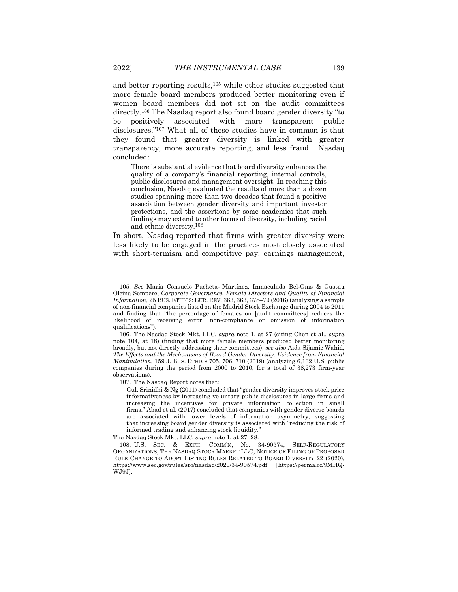and better reporting results,<sup>105</sup> while other studies suggested that more female board members produced better monitoring even if women board members did not sit on the audit committees directly.<sup>106</sup> The Nasdaq report also found board gender diversity "to be positively associated with more transparent public disclosures."<sup>107</sup> What all of these studies have in common is that they found that greater diversity is linked with greater transparency, more accurate reporting, and less fraud. Nasdaq concluded:

There is substantial evidence that board diversity enhances the quality of a company's financial reporting, internal controls, public disclosures and management oversight. In reaching this conclusion, Nasdaq evaluated the results of more than a dozen studies spanning more than two decades that found a positive association between gender diversity and important investor protections, and the assertions by some academics that such findings may extend to other forms of diversity, including racial and ethnic diversity. 108

In short, Nasdaq reported that firms with greater diversity were less likely to be engaged in the practices most closely associated with short-termism and competitive pay: earnings management,

107. The Nasdaq Report notes that:

<sup>105</sup>*. See* María Consuelo Pucheta‐ Martínez, Inmaculada Bel-Oms & Gustau Olcina-Sempere, *Corporate Governance, Female Directors and Quality of Financial Information*, 25 BUS. ETHICS: EUR. REV. 363, 363, 378–79 (2016) (analyzing a sample of non-financial companies listed on the Madrid Stock Exchange during 2004 to 2011 and finding that "the percentage of females on [audit committees] reduces the likelihood of receiving error, non-compliance or omission of information qualifications").

<sup>106.</sup> The Nasdaq Stock Mkt. LLC, *supra* note [1,](#page-1-0) at 27 (citing Chen et al., *supra*  note [104,](#page-22-0) at 18) (finding that more female members produced better monitoring broadly, but not directly addressing their committees); *see also* Aida Sijamic Wahid, *The Effects and the Mechanisms of Board Gender Diversity: Evidence from Financial Manipulation*, 159 J. BUS. ETHICS 705, 706, 710 (2019) (analyzing 6,132 U.S. public companies during the period from 2000 to 2010, for a total of 38,273 firm-year observations).

Gul, Srinidhi & Ng (2011) concluded that "gender diversity improves stock price informativeness by increasing voluntary public disclosures in large firms and increasing the incentives for private information collection in small firms." Abad et al. (2017) concluded that companies with gender diverse boards are associated with lower levels of information asymmetry, suggesting that increasing board gender diversity is associated with "reducing the risk of informed trading and enhancing stock liquidity.'

The Nasdaq Stock Mkt. LLC, *supra* note [1,](#page-1-0) at 27–28.

<sup>108.</sup> U.S. SEC. & EXCH. COMM'N, No. 34-90574, SELF-REGULATORY ORGANIZATIONS; THE NASDAQ STOCK MARKET LLC; NOTICE OF FILING OF PROPOSED RULE CHANGE TO ADOPT LISTING RULES RELATED TO BOARD DIVERSITY 22 (2020), https://www.sec.gov/rules/sro/nasdaq/2020/34-90574.pdf [https://perma.cc/9MHQ-WJ9J].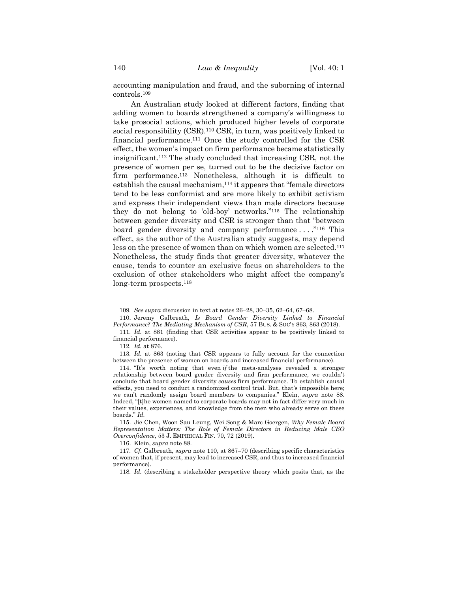accounting manipulation and fraud, and the suborning of internal controls.<sup>109</sup>

<span id="page-24-0"></span>An Australian study looked at different factors, finding that adding women to boards strengthened a company's willingness to take prosocial actions, which produced higher levels of corporate social responsibility (CSR).<sup>110</sup> CSR, in turn, was positively linked to financial performance.<sup>111</sup> Once the study controlled for the CSR effect, the women's impact on firm performance became statistically insignificant.<sup>112</sup> The study concluded that increasing CSR, not the presence of women per se, turned out to be the decisive factor on firm performance.<sup>113</sup> Nonetheless, although it is difficult to establish the causal mechanism,<sup>114</sup> it appears that "female directors tend to be less conformist and are more likely to exhibit activism and express their independent views than male directors because they do not belong to 'old-boy' networks."<sup>115</sup> The relationship between gender diversity and CSR is stronger than that "between board gender diversity and company performance ...."<sup>116</sup> This effect, as the author of the Australian study suggests, may depend less on the presence of women than on which women are selected.<sup>117</sup> Nonetheless, the study finds that greater diversity, whatever the cause, tends to counter an exclusive focus on shareholders to the exclusion of other stakeholders who might affect the company's long-term prospects.<sup>118</sup>

115. Jie Chen, Woon Sau Leung, Wei Song & Marc Goergen, *Why Female Board Representation Matters: The Role of Female Directors in Reducing Male CEO Overconfidence*, 53 J. EMPIRICAL FIN. 70, 72 (2019).

116. Klein, *supra* not[e 88.](#page-20-0)

117*. Cf.* Galbreath, *supra* not[e 110,](#page-24-0) at 867–70 (describing specific characteristics of women that, if present, may lead to increased CSR, and thus to increased financial performance).

118*. Id.* (describing a stakeholder perspective theory which posits that, as the

<sup>109</sup>*. See supra* discussion in text at notes 26–28, 30–[35,](#page-9-0) 62–64[, 67](#page-15-0)–68.

<sup>110.</sup> Jeremy Galbreath, *Is Board Gender Diversity Linked to Financial Performance? The Mediating Mechanism of CSR*, 57 BUS. & SOC'Y 863, 863 (2018).

<sup>111</sup>*. Id.* at 881 (finding that CSR activities appear to be positively linked to financial performance).

<sup>112</sup>*. Id.* at 876.

<sup>113</sup>*. Id.* at 863 (noting that CSR appears to fully account for the connection between the presence of women on boards and increased financial performance).

<sup>114.</sup> "It's worth noting that even *if* the meta-analyses revealed a stronger relationship between board gender diversity and firm performance, we couldn't conclude that board gender diversity *causes* firm performance. To establish causal effects, you need to conduct a randomized control trial. But, that's impossible here; we can't randomly assign board members to companies." Klein, *supra* note [88.](#page-20-0)  Indeed, "[t]he women named to corporate boards may not in fact differ very much in their values, experiences, and knowledge from the men who already serve on these boards." *Id.*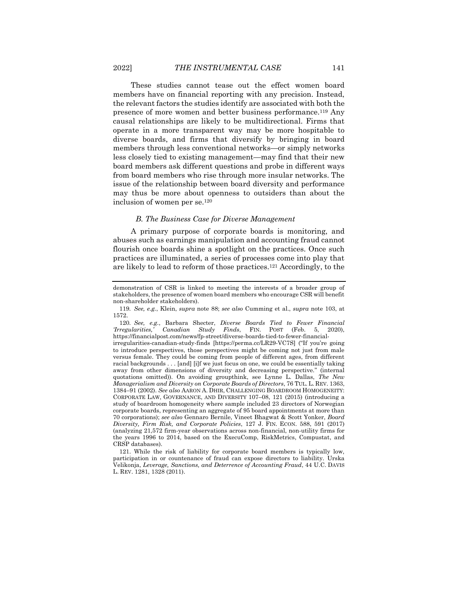These studies cannot tease out the effect women board members have on financial reporting with any precision. Instead, the relevant factors the studies identify are associated with both the presence of more women and better business performance.<sup>119</sup> Any causal relationships are likely to be multidirectional. Firms that operate in a more transparent way may be more hospitable to diverse boards, and firms that diversify by bringing in board members through less conventional networks—or simply networks less closely tied to existing management—may find that their new board members ask different questions and probe in different ways from board members who rise through more insular networks. The issue of the relationship between board diversity and performance may thus be more about openness to outsiders than about the inclusion of women per se.<sup>120</sup>

# *B. The Business Case for Diverse Management*

A primary purpose of corporate boards is monitoring, and abuses such as earnings manipulation and accounting fraud cannot flourish once boards shine a spotlight on the practices. Once such practices are illuminated, a series of processes come into play that are likely to lead to reform of those practices.<sup>121</sup> Accordingly, to the

irregularities-canadian-study-finds [https://perma.cc/LR29-VC7S] ("If you're going to introduce perspectives, those perspectives might be coming not just from male versus female. They could be coming from people of different ages, from different racial backgrounds . . . [and] [i]f we just focus on one, we could be essentially taking away from other dimensions of diversity and decreasing perspective." (internal quotations omitted)). On avoiding groupthink, see Lynne L. Dallas, *The New Managerialism and Diversity on Corporate Boards of Directors*, 76 TUL. L. REV. 1363, 1384–91 (2002). *See also* AARON A. DHIR, CHALLENGING BOARDROOM HOMOGENEITY: CORPORATE LAW, GOVERNANCE, AND DIVERSITY 107–08, 121 (2015) (introducing a study of boardroom homogeneity where sample included 23 directors of Norwegian corporate boards, representing an aggregate of 95 board appointments at more than 70 corporations); *see also* Gennaro Bernile, Vineet Bhagwat & Scott Yonker, *Board Diversity, Firm Risk, and Corporate Policies*, 127 J. FIN. ECON. 588, 591 (2017) (analyzing 21,572 firm-year observations across non-financial, non-utility firms for the years 1996 to 2014, based on the ExecuComp, RiskMetrics, Compustat, and CRSP databases).

121. While the risk of liability for corporate board members is typically low, participation in or countenance of fraud can expose directors to liability. Urska Velikonja, *Leverage, Sanctions, and Deterrence of Accounting Fraud*, 44 U.C. DAVIS L. REV. 1281, 1328 (2011).

demonstration of CSR is linked to meeting the interests of a broader group of stakeholders, the presence of women board members who encourage CSR will benefit non-shareholder stakeholders).

<sup>119</sup>*. See, e.g.*, Klein, *supra* note [88;](#page-20-0) *see also* Cumming et al., *supra* note [103,](#page-22-1) at 1572.

<sup>120</sup>*. See, e.g.*, Barbara Shecter, *Diverse Boards Tied to Fewer Financial 'Irregularities,' Canadian Study Finds*, FIN. POST (Feb. 5, 2020), https://financialpost.com/news/fp-street/diverse-boards-tied-to-fewer-financial-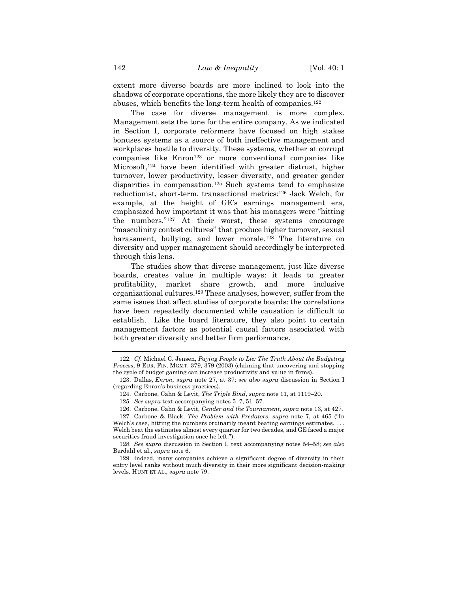extent more diverse boards are more inclined to look into the shadows of corporate operations, the more likely they are to discover abuses, which benefits the long-term health of companies.<sup>122</sup>

The case for diverse management is more complex. Management sets the tone for the entire company. As we indicated in Section I, corporate reformers have focused on high stakes bonuses systems as a source of both ineffective management and workplaces hostile to diversity. These systems, whether at corrupt companies like Enron<sup>123</sup> or more conventional companies like Microsoft,<sup>124</sup> have been identified with greater distrust, higher turnover, lower productivity, lesser diversity, and greater gender disparities in compensation.<sup>125</sup> Such systems tend to emphasize reductionist, short-term, transactional metrics:<sup>126</sup> Jack Welch, for example, at the height of GE's earnings management era, emphasized how important it was that his managers were "hitting the numbers."<sup>127</sup> At their worst, these systems encourage "masculinity contest cultures" that produce higher turnover, sexual harassment, bullying, and lower morale.<sup>128</sup> The literature on diversity and upper management should accordingly be interpreted through this lens.

The studies show that diverse management, just like diverse boards, creates value in multiple ways: it leads to greater profitability, market share growth, and more inclusive organizational cultures.<sup>129</sup> These analyses, however, suffer from the same issues that affect studies of corporate boards: the correlations have been repeatedly documented while causation is difficult to establish. Like the board literature, they also point to certain management factors as potential causal factors associated with both greater diversity and better firm performance.

<sup>122</sup>*. Cf.* Michael C. Jensen, *Paying People to Lie: The Truth About the Budgeting Process*, 9 EUR. FIN. MGMT. 379, 379 (2003) (claiming that uncovering and stopping the cycle of budget gaming can increase productivity and value in firms).

<sup>123.</sup> Dallas, *Enron*, *supra* note [27,](#page-7-1) at 37; *see also supra* discussion in Section I (regarding Enron's business practices).

<sup>124.</sup> Carbone, Cahn & Levit, *The Triple Bind*, *supra* not[e 11,](#page-3-1) at 1119–20.

<sup>125</sup>*. See supra* text accompanying note[s 5](#page-2-0)–[7,](#page-3-0) [51](#page-12-0)–[57.](#page-13-1)

<sup>126.</sup> Carbone, Cahn & Levit, *Gender and the Tournament*, *supra* note 13, at 427.

<sup>127.</sup> Carbone & Black, *The Problem with Predators*, *supra* note [7,](#page-3-0) at 465 ("In Welch's case, hitting the numbers ordinarily meant beating earnings estimates. . . . Welch beat the estimates almost every quarter for two decades, and GE faced a major securities fraud investigation once he left.").

<sup>128</sup>*. See supra* discussion in Section I, text accompanying notes [54](#page-13-2)–[58;](#page-13-3) *see also*  Berdahl et al., *supra* note [6.](#page-3-2)

<sup>129.</sup> Indeed, many companies achieve a significant degree of diversity in their entry level ranks without much diversity in their more significant decision-making levels. HUNT ET AL., *supra* note [79.](#page-18-0)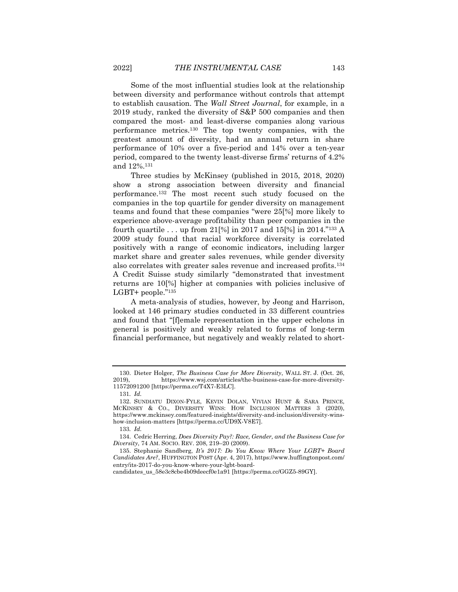Some of the most influential studies look at the relationship between diversity and performance without controls that attempt to establish causation. The *Wall Street Journal*, for example, in a 2019 study, ranked the diversity of S&P 500 companies and then compared the most- and least-diverse companies along various performance metrics.<sup>130</sup> The top twenty companies, with the greatest amount of diversity, had an annual return in share performance of 10% over a five-period and 14% over a ten-year period, compared to the twenty least-diverse firms' returns of 4.2% and 12%. 131

Three studies by McKinsey (published in 2015, 2018, 2020) show a strong association between diversity and financial performance.<sup>132</sup> The most recent such study focused on the companies in the top quartile for gender diversity on management teams and found that these companies "were 25[%] more likely to experience above-average profitability than peer companies in the fourth quartile . . . up from 21[%] in 2017 and 15[%] in 2014."<sup>133</sup> A 2009 study found that racial workforce diversity is correlated positively with a range of economic indicators, including larger market share and greater sales revenues, while gender diversity also correlates with greater sales revenue and increased profits.<sup>134</sup> A Credit Suisse study similarly "demonstrated that investment returns are 10[%] higher at companies with policies inclusive of LGBT+ people."<sup>135</sup>

A meta-analysis of studies, however, by Jeong and Harrison, looked at 146 primary studies conducted in 33 different countries and found that "[f]emale representation in the upper echelons in general is positively and weakly related to forms of long-term financial performance, but negatively and weakly related to short-

<sup>130.</sup> Dieter Holger, *The Business Case for More Diversity*, WALL ST. J. (Oct. 26, https://www.wsj.com/articles/the-business-case-for-more-diversity-11572091200 [https://perma.cc/T4X7-E3LC].

<sup>131</sup>*. Id.*

<sup>132.</sup> SUNDIATU DIXON-FYLE, KEVIN DOLAN, VIVIAN HUNT & SARA PRINCE, MCKINSEY & CO., DIVERSITY WINS: HOW INCLUSION MATTERS 3 (2020), https://www.mckinsey.com/featured-insights/diversity-and-inclusion/diversity-winshow-inclusion-matters [https://perma.cc/UD9X-V8E7].

<sup>133</sup>*. Id.*

<sup>134.</sup> Cedric Herring, *Does Diversity Pay?: Race, Gender, and the Business Case for Diversity*, 74 AM. SOCIO. REV. 208, 219–20 (2009).

<sup>135.</sup> Stephanie Sandberg, *It's 2017: Do You Know Where Your LGBT+ Board Candidates Are?*, HUFFINGTON POST (Apr. 4, 2017), https://www.huffingtonpost.com/ entry/its-2017-do-you-know-where-your-lgbt-board-

candidates\_us\_58e3c8cbe4b09deecf0e1a91 [https://perma.cc/GGZ5-89GY].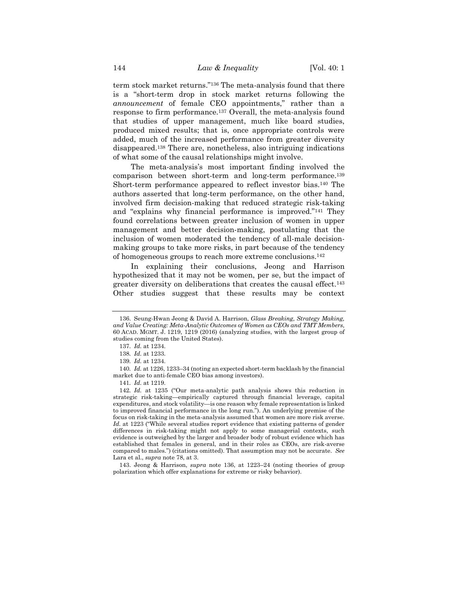term stock market returns."<sup>136</sup> The meta-analysis found that there is a "short-term drop in stock market returns following the *announcement* of female CEO appointments," rather than a response to firm performance.<sup>137</sup> Overall, the meta-analysis found that studies of upper management, much like board studies, produced mixed results; that is, once appropriate controls were added, much of the increased performance from greater diversity disappeared.<sup>138</sup> There are, nonetheless, also intriguing indications of what some of the causal relationships might involve.

The meta-analysis's most important finding involved the comparison between short-term and long-term performance.<sup>139</sup> Short-term performance appeared to reflect investor bias.<sup>140</sup> The authors asserted that long-term performance, on the other hand, involved firm decision-making that reduced strategic risk-taking and "explains why financial performance is improved."<sup>141</sup> They found correlations between greater inclusion of women in upper management and better decision-making, postulating that the inclusion of women moderated the tendency of all-male decisionmaking groups to take more risks, in part because of the tendency of homogeneous groups to reach more extreme conclusions.<sup>142</sup>

In explaining their conclusions, Jeong and Harrison hypothesized that it may not be women, per se, but the impact of greater diversity on deliberations that creates the causal effect.<sup>143</sup> Other studies suggest that these results may be context

<sup>136.</sup> Seung-Hwan Jeong & David A. Harrison, *Glass Breaking, Strategy Making, and Value Creating: Meta-Analytic Outcomes of Women as CEOs and TMT Members*, 60 ACAD. MGMT. J. 1219, 1219 (2016) (analyzing studies, with the largest group of studies coming from the United States).

<sup>137</sup>*. Id.* at 1234.

<sup>138</sup>*. Id.* at 1233.

<sup>139</sup>*. Id.* at 1234.

<sup>140</sup>*. Id.* at 1226, 1233–34 (noting an expected short-term backlash by the financial market due to anti-female CEO bias among investors).

<sup>141</sup>*. Id.* at 1219.

<sup>142</sup>*. Id.* at 1235 ("Our meta-analytic path analysis shows this reduction in strategic risk-taking—empirically captured through financial leverage, capital expenditures, and stock volatility—is one reason why female representation is linked to improved financial performance in the long run."). An underlying premise of the focus on risk-taking in the meta-analysis assumed that women are more risk averse. *Id.* at 1223 ("While several studies report evidence that existing patterns of gender differences in risk-taking might not apply to some managerial contexts, such evidence is outweighed by the larger and broader body of robust evidence which has established that females in general, and in their roles as CEOs, are risk-averse compared to males.") (citations omitted). That assumption may not be accurate. *See*  Lara et al., *supra* note [78,](#page-17-1) at 3.

<sup>143.</sup> Jeong & Harrison, *supra* note 136, at 1223–24 (noting theories of group polarization which offer explanations for extreme or risky behavior).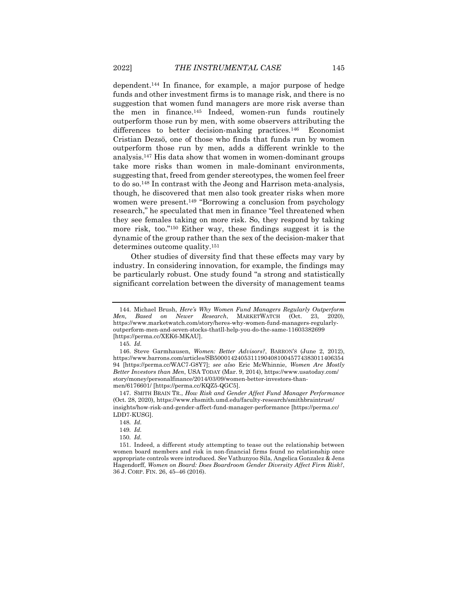dependent.<sup>144</sup> In finance, for example, a major purpose of hedge funds and other investment firms is to manage risk, and there is no suggestion that women fund managers are more risk averse than the men in finance.<sup>145</sup> Indeed, women-run funds routinely outperform those run by men, with some observers attributing the differences to better decision-making practices.<sup>146</sup> Economist Cristian Dezsö, one of those who finds that funds run by women outperform those run by men, adds a different wrinkle to the analysis.<sup>147</sup> His data show that women in women-dominant groups take more risks than women in male-dominant environments, suggesting that, freed from gender stereotypes, the women feel freer to do so.<sup>148</sup> In contrast with the Jeong and Harrison meta-analysis, though, he discovered that men also took greater risks when more women were present.<sup>149</sup> "Borrowing a conclusion from psychology research," he speculated that men in finance "feel threatened when they see females taking on more risk. So, they respond by taking more risk, too."<sup>150</sup> Either way, these findings suggest it is the dynamic of the group rather than the sex of the decision-maker that determines outcome quality.<sup>151</sup>

Other studies of diversity find that these effects may vary by industry. In considering innovation, for example, the findings may be particularly robust. One study found "a strong and statistically significant correlation between the diversity of management teams

<sup>144.</sup> Michael Brush, *Here's Why Women Fund Managers Regularly Outperform Men, Based on Newer Research*, MARKETWATCH (Oct. 23, 2020), https://www.marketwatch.com/story/heres-why-women-fund-managers-regularlyoutperform-men-and-seven-stocks-thatll-help-you-do-the-same-11603382699 [https://perma.cc/XEK6-MKAU].

<sup>145</sup>*. Id.*

<sup>146.</sup> Steve Garmhausen, *Women: Better Advisors?*, BARRON'S (June 2, 2012), https://www.barrons.com/articles/SB500014240531119040810045774383011406354 94 [https://perma.cc/WAC7-G8Y7]; *see also* Eric McWhinnie, *Women Are Mostly Better Investors than Men*, USA TODAY (Mar. 9, 2014), https://www.usatoday.com/ story/money/personalfinance/2014/03/09/women-better-investors-thanmen/6176601/ [https://perma.cc/KQZ5-QGC5].

<sup>147.</sup> SMITH BRAIN TR., *How Risk and Gender Affect Fund Manager Performance* (Oct. 28, 2020), https://www.rhsmith.umd.edu/faculty-research/smithbraintrust/ insights/how-risk-and-gender-affect-fund-manager-performance [https://perma.cc/ LDD7-KUSG].

<sup>148</sup>*. Id.*

<sup>149</sup>*. Id.*

<sup>150</sup>*. Id.*

<sup>151.</sup> Indeed, a different study attempting to tease out the relationship between women board members and risk in non-financial firms found no relationship once appropriate controls were introduced. *See* Vathunyoo Sila, Angelica Gonzalez & Jens Hagendorff, *Women on Board: Does Boardroom Gender Diversity Affect Firm Risk?*, 36 J. CORP. FIN. 26, 45–46 (2016).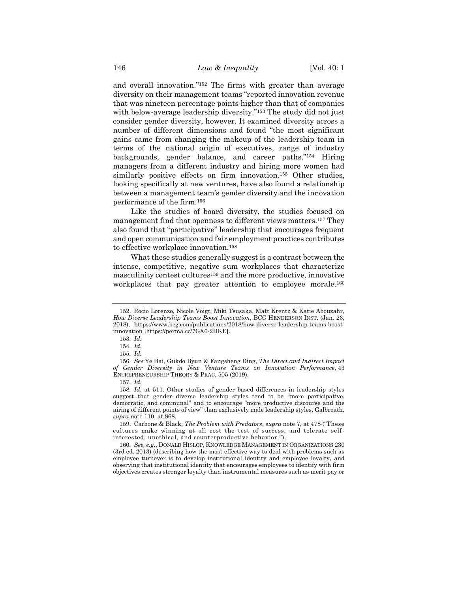and overall innovation."<sup>152</sup> The firms with greater than average diversity on their management teams "reported innovation revenue that was nineteen percentage points higher than that of companies with below-average leadership diversity."<sup>153</sup> The study did not just consider gender diversity, however. It examined diversity across a number of different dimensions and found "the most significant gains came from changing the makeup of the leadership team in terms of the national origin of executives, range of industry backgrounds, gender balance, and career paths."<sup>154</sup> Hiring managers from a different industry and hiring more women had similarly positive effects on firm innovation.<sup>155</sup> Other studies, looking specifically at new ventures, have also found a relationship between a management team's gender diversity and the innovation performance of the firm.<sup>156</sup>

Like the studies of board diversity, the studies focused on management find that openness to different views matters.<sup>157</sup> They also found that "participative" leadership that encourages frequent and open communication and fair employment practices contributes to effective workplace innovation.<sup>158</sup>

What these studies generally suggest is a contrast between the intense, competitive, negative sum workplaces that characterize masculinity contest cultures<sup>159</sup> and the more productive, innovative workplaces that pay greater attention to employee morale.<sup>160</sup>

<sup>152.</sup> Rocio Lorenzo, Nicole Voigt, Miki Tsusaka, Matt Krentz & Katie Abouzahr, *How Diverse Leadership Teams Boost Innovation*, BCG HENDERSON INST. (Jan. 23, 2018), https://www.bcg.com/publications/2018/how-diverse-leadership-teams-boostinnovation [https://perma.cc/7GX6-2DKE].

<sup>153</sup>*. Id.*

<sup>154</sup>*. Id.*

<sup>155</sup>*. Id.*

<sup>156</sup>*. See* Ye Dai, Gukdo Byun & Fangsheng Ding, *The Direct and Indirect Impact of Gender Diversity in New Venture Teams on Innovation Performance*, 43 ENTREPRENEURSHIP THEORY & PRAC. 505 (2019).

<sup>157</sup>*. Id.*

<sup>158</sup>*. Id.* at 511. Other studies of gender based differences in leadership styles suggest that gender diverse leadership styles tend to be "more participative, democratic, and communal" and to encourage "more productive discourse and the airing of different points of view" than exclusively male leadership styles. Galbreath, *supra* note [110,](#page-24-0) at 868.

<sup>159.</sup> Carbone & Black, *The Problem with Predators*, *supra* not[e 7,](#page-3-0) at 478 ("These cultures make winning at all cost the test of success, and tolerate selfinterested, unethical, and counterproductive behavior.").

<sup>160</sup>*. See, e.g.*, DONALD HISLOP, KNOWLEDGE MANAGEMENT IN ORGANIZATIONS 230 (3rd ed. 2013) (describing how the most effective way to deal with problems such as employee turnover is to develop institutional identity and employee loyalty, and observing that institutional identity that encourages employees to identify with firm objectives creates stronger loyalty than instrumental measures such as merit pay or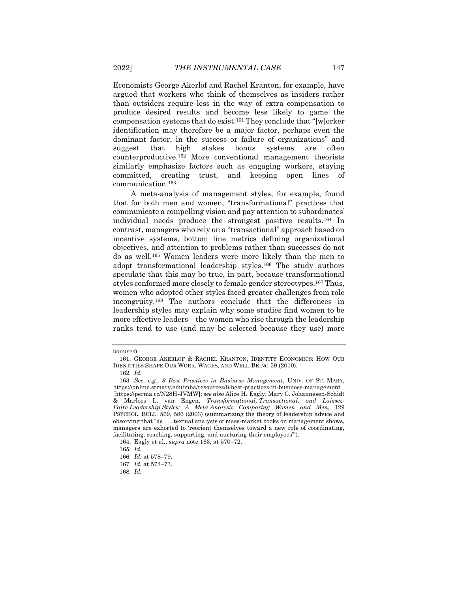Economists George Akerlof and Rachel Kranton, for example, have argued that workers who think of themselves as insiders rather than outsiders require less in the way of extra compensation to produce desired results and become less likely to game the compensation systems that do exist.<sup>161</sup> They conclude that "[w]orker identification may therefore be a major factor, perhaps even the dominant factor, in the success or failure of organizations" and suggest that high stakes bonus systems are often counterproductive.<sup>162</sup> More conventional management theorists similarly emphasize factors such as engaging workers, staying committed, creating trust, and keeping open lines of communication.<sup>163</sup>

<span id="page-31-0"></span>A meta-analysis of management styles, for example, found that for both men and women, "transformational" practices that communicate a compelling vision and pay attention to subordinates' individual needs produce the strongest positive results.<sup>164</sup> In contrast, managers who rely on a "transactional" approach based on incentive systems, bottom line metrics defining organizational objectives, and attention to problems rather than successes do not do as well.<sup>165</sup> Women leaders were more likely than the men to adopt transformational leadership styles.<sup>166</sup> The study authors speculate that this may be true, in part, because transformational styles conformed more closely to female gender stereotypes.<sup>167</sup> Thus, women who adopted other styles faced greater challenges from role incongruity.<sup>168</sup> The authors conclude that the differences in leadership styles may explain why some studies find women to be more effective leaders—the women who rise through the leadership ranks tend to use (and may be selected because they use) more

bonuses).

<sup>161.</sup> GEORGE AKERLOF & RACHEL KRANTON, IDENTITY ECONOMICS: HOW OUR IDENTITIES SHAPE OUR WORK, WAGES, AND WELL-BEING 59 (2010).

<sup>162</sup>*. Id.*

<sup>163</sup>*. See, e.g.*, *8 Best Practices in Business Management*, UNIV. OF ST. MARY, https://online.stmary.edu/mba/resources/8-best-practices-in-business-management [https://perma.cc/N28H-JVMW]; *see also* Alice H. Eagly, Mary C. Johannesen-Schidt & Marloes L. van Engen, *Transformational, Transactional, and Laissez-Faire Leadership Styles: A Meta-Analysis Comparing Women and Men*, 129 PSYCHOL. BULL. 569, 586 (2003) (summarizing the theory of leadership advice and observing that "as . . . textual analysis of mass-market books on management shows, managers are exhorted to 'reorient themselves toward a new role of coordinating, facilitating, coaching, supporting, and nurturing their employees'").

<sup>164.</sup> Eagly et al., *supra* not[e 163,](#page-31-0) at 570–72.

<sup>165</sup>*. Id.*

<sup>166</sup>*. Id.* at 578–79.

<sup>167</sup>*. Id.* at 572–73.

<sup>168</sup>*. Id.*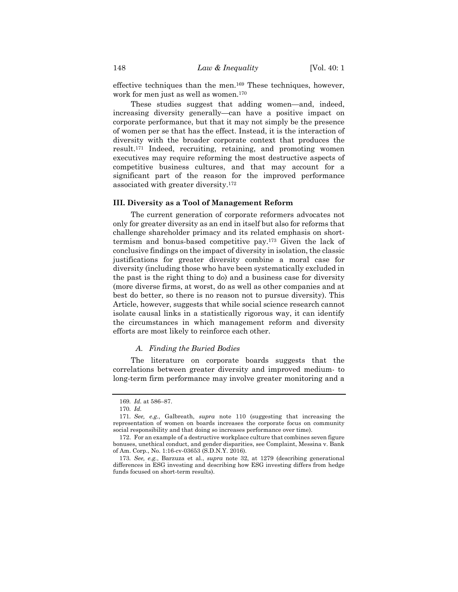effective techniques than the men.<sup>169</sup> These techniques, however, work for men just as well as women.<sup>170</sup>

These studies suggest that adding women—and, indeed, increasing diversity generally—can have a positive impact on corporate performance, but that it may not simply be the presence of women per se that has the effect. Instead, it is the interaction of diversity with the broader corporate context that produces the result.<sup>171</sup> Indeed, recruiting, retaining, and promoting women executives may require reforming the most destructive aspects of competitive business cultures, and that may account for a significant part of the reason for the improved performance associated with greater diversity.<sup>172</sup>

#### **III. Diversity as a Tool of Management Reform**

The current generation of corporate reformers advocates not only for greater diversity as an end in itself but also for reforms that challenge shareholder primacy and its related emphasis on shorttermism and bonus-based competitive pay.<sup>173</sup> Given the lack of conclusive findings on the impact of diversity in isolation, the classic justifications for greater diversity combine a moral case for diversity (including those who have been systematically excluded in the past is the right thing to do) and a business case for diversity (more diverse firms, at worst, do as well as other companies and at best do better, so there is no reason not to pursue diversity). This Article, however, suggests that while social science research cannot isolate causal links in a statistically rigorous way, it can identify the circumstances in which management reform and diversity efforts are most likely to reinforce each other.

# *A. Finding the Buried Bodies*

The literature on corporate boards suggests that the correlations between greater diversity and improved medium- to long-term firm performance may involve greater monitoring and a

<sup>169</sup>*. Id.* at 586–87.

<sup>170</sup>*. Id.*

<sup>171</sup>*. See, e.g.*, Galbreath, *supra* note [110](#page-24-0) (suggesting that increasing the representation of women on boards increases the corporate focus on community social responsibility and that doing so increases performance over time).

<sup>172.</sup> For an example of a destructive workplace culture that combines seven figure bonuses, unethical conduct, and gender disparities, see Complaint, Messina v. Bank of Am. Corp., No. 1:16-cv-03653 (S.D.N.Y. 2016).

<sup>173</sup>*. See, e.g.*, Barzuza et al., *supra* note [32,](#page-8-0) at 1279 (describing generational differences in ESG investing and describing how ESG investing differs from hedge funds focused on short-term results).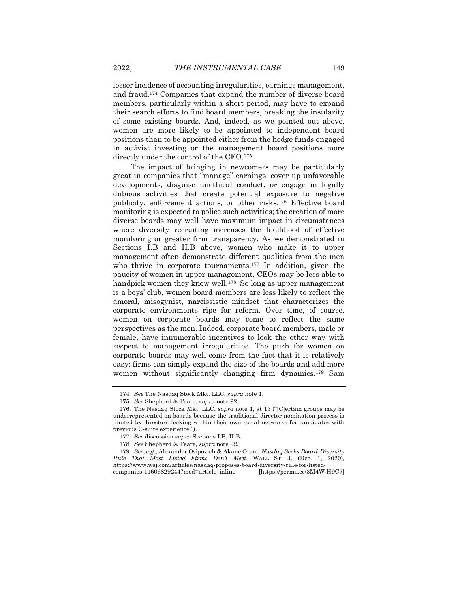lesser incidence of accounting irregularities, earnings management, and fraud.<sup>174</sup> Companies that expand the number of diverse board members, particularly within a short period, may have to expand their search efforts to find board members, breaking the insularity of some existing boards. And, indeed, as we pointed out above, women are more likely to be appointed to independent board positions than to be appointed either from the hedge funds engaged in activist investing or the management board positions more directly under the control of the CEO.<sup>175</sup>

The impact of bringing in newcomers may be particularly great in companies that "manage" earnings, cover up unfavorable developments, disguise unethical conduct, or engage in legally dubious activities that create potential exposure to negative publicity, enforcement actions, or other risks.<sup>176</sup> Effective board monitoring is expected to police such activities; the creation of more diverse boards may well have maximum impact in circumstances where diversity recruiting increases the likelihood of effective monitoring or greater firm transparency. As we demonstrated in Sections I.B and II.B above, women who make it to upper management often demonstrate different qualities from the men who thrive in corporate tournaments.<sup>177</sup> In addition, given the paucity of women in upper management, CEOs may be less able to handpick women they know well.<sup>178</sup> So long as upper management is a boys' club, women board members are less likely to reflect the amoral, misogynist, narcissistic mindset that characterizes the corporate environments ripe for reform. Over time, of course, women on corporate boards may come to reflect the same perspectives as the men. Indeed, corporate board members, male or female, have innumerable incentives to look the other way with respect to management irregularities. The push for women on corporate boards may well come from the fact that it is relatively easy: firms can simply expand the size of the boards and add more women without significantly changing firm dynamics.<sup>179</sup> Sam

<sup>174</sup>*. See* The Nasdaq Stock Mkt. LLC, *supra* not[e 1.](#page-1-0)

<sup>175</sup>*. See* Shepherd & Teare, *supra* note [92.](#page-20-1)

<sup>176.</sup> The Nasdaq Stock Mkt. LLC, *supra* note [1,](#page-1-0) at 15 ("[C]ertain groups may be underrepresented on boards because the traditional director nomination process is limited by directors looking within their own social networks for candidates with previous C-suite experience.").

<sup>177</sup>*. See* discussion *supra* Sections I.B, II.B.

<sup>178</sup>*. See* Shepherd & Teare, *supra* note [92.](#page-20-1)

<sup>179</sup>*. See, e.g.*, Alexander Osipovich & Akane Otani, *Nasdaq Seeks Board-Diversity Rule That Most Listed Firms Don't Meet*, WALL ST. J. (Dec. 1, 2020), https://www.wsj.com/articles/nasdaq-proposes-board-diversity-rule-for-listedcompanies-11606829244?mod=article\_inline

<span id="page-33-0"></span>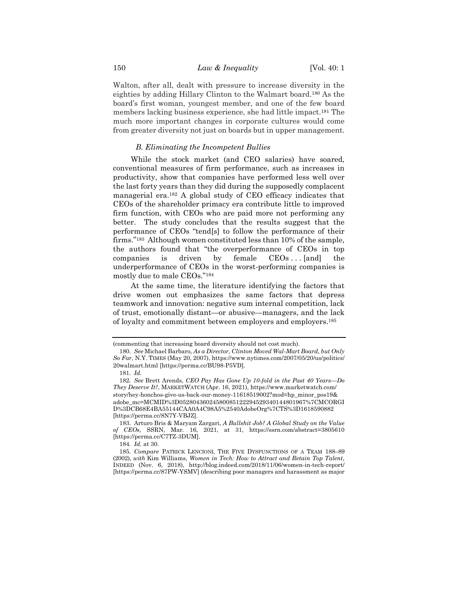Walton, after all, dealt with pressure to increase diversity in the eighties by adding Hillary Clinton to the Walmart board.<sup>180</sup> As the board's first woman, youngest member, and one of the few board members lacking business experience, she had little impact.<sup>181</sup> The much more important changes in corporate cultures would come from greater diversity not just on boards but in upper management.

# <span id="page-34-0"></span>*B. Eliminating the Incompetent Bullies*

While the stock market (and CEO salaries) have soared, conventional measures of firm performance, such as increases in productivity, show that companies have performed less well over the last forty years than they did during the supposedly complacent managerial era.<sup>182</sup> A global study of CEO efficacy indicates that CEOs of the shareholder primacy era contribute little to improved firm function, with CEOs who are paid more not performing any better. The study concludes that the results suggest that the performance of CEOs "tend[s] to follow the performance of their firms."183 Although women constituted less than 10% of the sample, the authors found that "the overperformance of CEOs in top companies is driven by female  $CEOs \dots [and]$  the underperformance of CEOs in the worst-performing companies is mostly due to male CEOs."<sup>184</sup>

At the same time, the literature identifying the factors that drive women out emphasizes the same factors that depress teamwork and innovation: negative sum internal competition, lack of trust, emotionally distant—or abusive—managers, and the lack of loyalty and commitment between employers and employers.<sup>185</sup>

<sup>(</sup>commenting that increasing board diversity should not cost much).

<sup>180</sup>*. See* Michael Barbaro, *As a Director, Clinton Moved Wal-Mart Board, but Only So Far*, N.Y. TIMES (May 20, 2007), https://www.nytimes.com/2007/05/20/us/politics/ 20walmart.html [https://perma.cc/BU98-P5VD].

<span id="page-34-1"></span><sup>181</sup>*. Id.*

<sup>182</sup>*. See* Brett Arends, *CEO Pay Has Gone Up 10-fold in the Past 40 Years—Do They Deserve It?*, MARKETWATCH (Apr. 16, 2021), https://www.marketwatch.com/ story/hey-honchos-give-us-back-our-money-11618519002?mod=hp\_minor\_pos19& adobe\_mc=MCMID%3D05280436024580085122294529340144801967%7CMCORGI D%3DCB68E4BA55144CAA0A4C98A5%2540AdobeOrg%7CTS%3D1618590882 [https://perma.cc/8N7Y-VBJZ].

<sup>183.</sup> Arturo Bris & Maryam Zargari, *A Bullshit Job? A Global Study on the Value of CEOs*, SSRN, Mar. 16, 2021, at 31, https://ssrn.com/abstract=3805610 [https://perma.cc/C7TZ-3DUM].

<sup>184</sup>*. Id.* at 30.

<sup>185</sup>*. Compare* PATRICK LENCIONI, THE FIVE DYSFUNCTIONS OF A TEAM 188–89 (2002), *with* Kim Williams, *Women in Tech: How to Attract and Retain Top Talent*, INDEED (Nov. 6, 2018), http://blog.indeed.com/2018/11/06/women-in-tech-report/ [https://perma.cc/87PW-YSMV] (describing poor managers and harassment as major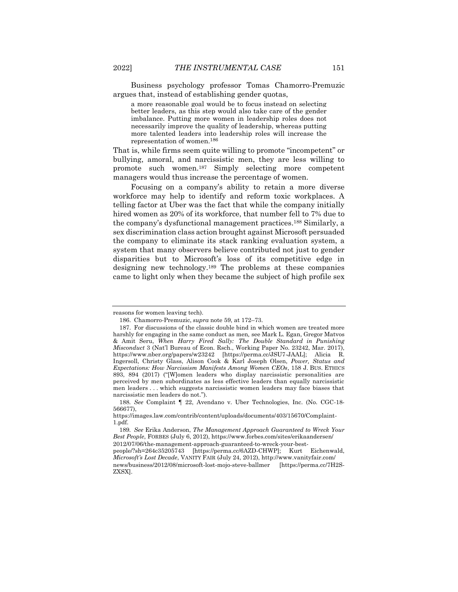Business psychology professor Tomas Chamorro-Premuzic argues that, instead of establishing gender quotas,

a more reasonable goal would be to focus instead on selecting better leaders, as this step would also take care of the gender imbalance. Putting more women in leadership roles does not necessarily improve the quality of leadership, whereas putting more talented leaders into leadership roles will increase the representation of women.<sup>186</sup>

That is, while firms seem quite willing to promote "incompetent" or bullying, amoral, and narcissistic men, they are less willing to promote such women.<sup>187</sup> Simply selecting more competent managers would thus increase the percentage of women.

Focusing on a company's ability to retain a more diverse workforce may help to identify and reform toxic workplaces. A telling factor at Uber was the fact that while the company initially hired women as 20% of its workforce, that number fell to 7% due to the company's dysfunctional management practices.<sup>188</sup> Similarly, a sex discrimination class action brought against Microsoft persuaded the company to eliminate its stack ranking evaluation system, a system that many observers believe contributed not just to gender disparities but to Microsoft's loss of its competitive edge in designing new technology.<sup>189</sup> The problems at these companies came to light only when they became the subject of high profile sex

reasons for women leaving tech).

<sup>186.</sup> Chamorro-Premuzic, *supra* not[e 59,](#page-13-0) at 172–73.

<sup>187.</sup> For discussions of the classic double bind in which women are treated more harshly for engaging in the same conduct as men*,* see Mark L. Egan, Gregor Matvos & Amit Seru, *When Harry Fired Sally: The Double Standard in Punishing Misconduct* 3 (Nat'l Bureau of Econ. Rsch., Working Paper No. 23242, Mar. 2017), https://www.nber.org/papers/w23242 [https://perma.cc/JSU7-JAAL]; Alicia R. Ingersoll, Christy Glass, Alison Cook & Karl Joseph Olsen, *Power, Status and Expectations: How Narcissism Manifests Among Women CEOs*, 158 J. BUS. ETHICS 893, 894 (2017) ("[W]omen leaders who display narcissistic personalities are perceived by men subordinates as less effective leaders than equally narcissistic men leaders . . . which suggests narcissistic women leaders may face biases that narcissistic men leaders do not.").

<sup>188</sup>*. See* Complaint ¶ 22, Avendano v. Uber Technologies, Inc. (No. CGC-18- 566677),

https://images.law.com/contrib/content/uploads/documents/403/15670/Complaint-1.pdf.

<sup>189</sup>*. See* Erika Anderson, *The Management Approach Guaranteed to Wreck Your Best People*, FORBES (July 6, 2012), https://www.forbes.com/sites/erikaandersen/ 2012/07/06/the-management-approach-guaranteed-to-wreck-your-best-

people/?sh=264c35205743 [https://perma.cc/6AZD-CHWP]; Kurt Eichenwald, *Microsoft's Lost Decade*, VANITY FAIR (July 24, 2012), http://www.vanityfair.com/ news/business/2012/08/microsoft-lost-mojo-steve-ballmer [https://perma.cc/7H2S-ZXSX].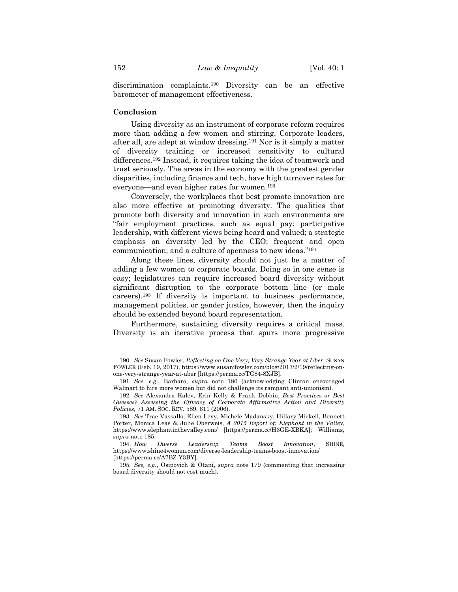discrimination complaints.<sup>190</sup> Diversity can be an effective barometer of management effectiveness.

# **Conclusion**

Using diversity as an instrument of corporate reform requires more than adding a few women and stirring. Corporate leaders, after all, are adept at window dressing.<sup>191</sup> Nor is it simply a matter of diversity training or increased sensitivity to cultural differences.<sup>192</sup> Instead, it requires taking the idea of teamwork and trust seriously. The areas in the economy with the greatest gender disparities, including finance and tech, have high turnover rates for everyone—and even higher rates for women.<sup>193</sup>

Conversely, the workplaces that best promote innovation are also more effective at promoting diversity. The qualities that promote both diversity and innovation in such environments are "fair employment practices, such as equal pay; participative leadership, with different views being heard and valued; a strategic emphasis on diversity led by the CEO; frequent and open communication; and a culture of openness to new ideas."<sup>194</sup>

Along these lines, diversity should not just be a matter of adding a few women to corporate boards. Doing so in one sense is easy; legislatures can require increased board diversity without significant disruption to the corporate bottom line (or male careers).<sup>195</sup> If diversity is important to business performance, management policies, or gender justice, however, then the inquiry should be extended beyond board representation.

Furthermore, sustaining diversity requires a critical mass. Diversity is an iterative process that spurs more progressive

<sup>190</sup>*. See* Susan Fowler, *Reflecting on One Very, Very Strange Year at Uber*, SUSAN FOWLER (Feb. 19, 2017), https://www.susanjfowler.com/blog/2017/2/19/reflecting-onone-very-strange-year-at-uber [https://perma.cc/TG84-8XJB].

<sup>191</sup>*. See, e.g.*, Barbaro, *supra* note [180](#page-34-0) (acknowledging Clinton encouraged Walmart to hire more women but did not challenge its rampant anti-unionism).

<sup>192</sup>*. See* Alexandra Kalev, Erin Kelly & Frank Dobbin, *Best Practices or Best Guesses? Assessing the Efficacy of Corporate Affirmative Action and Diversity Policies*, 71 AM. SOC. REV. 589, 611 (2006).

<sup>193</sup>*. See* Trae Vassallo, Ellen Levy, Michele Madansky, Hillary Mickell, Bennett Porter, Monica Leas & Julie Oberweis, *A 2015 Report of: Elephant in the Valley*, https://www.elephantinthevalley.com/ [https://perma.cc/H3GE-XBKA]; Williams, *supra* note [185.](#page-34-1)

<sup>194.</sup> *How Diverse Leadership Teams Boost Innovation*, SHINE, https://www.shine4women.com/diverse-leadership-teams-boost-innovation/ [https://perma.cc/A7BZ-Y3BY].

<sup>195</sup>*. See, e.g.*, Osipovich & Otani, *supra* note [179](#page-33-0) (commenting that increasing board diversity should not cost much).